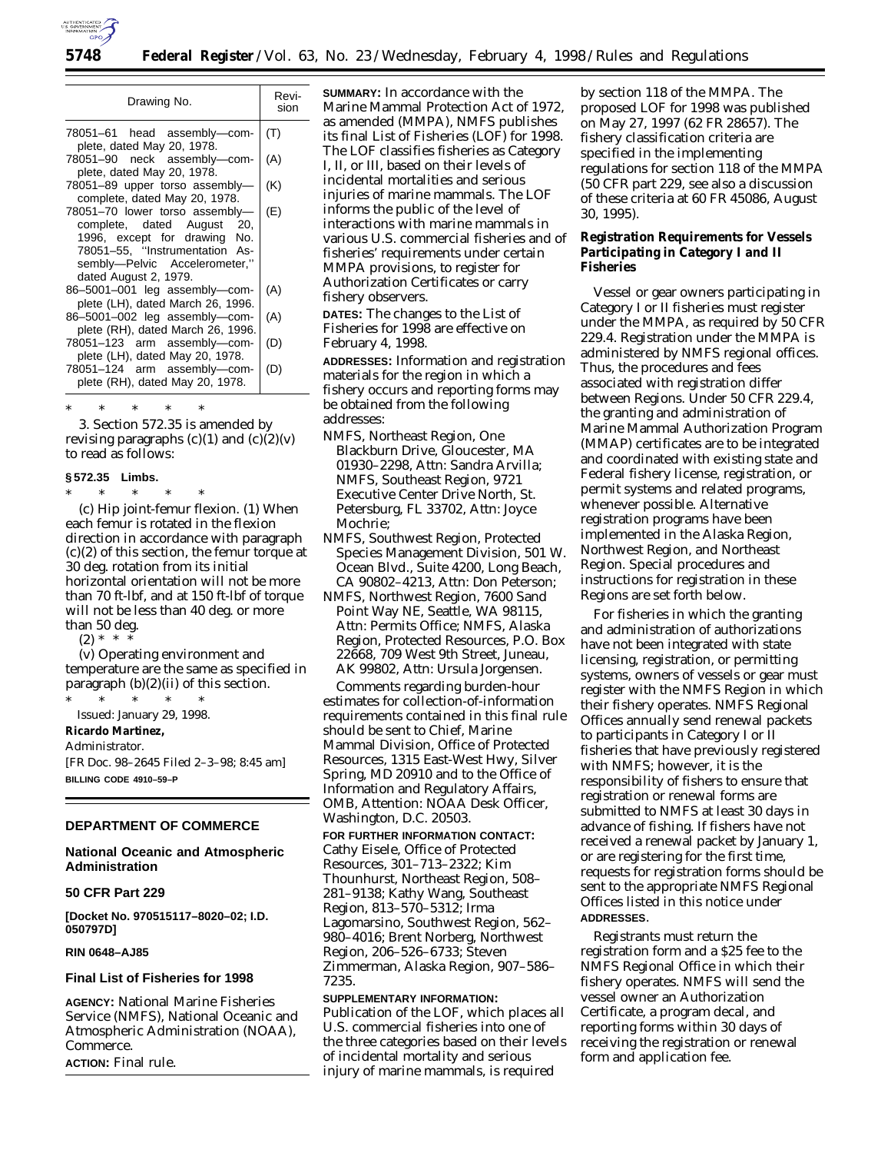

| Revi-<br>Drawing No.<br>sion<br>78051-61 head assembly--com-<br>(T)<br>plete, dated May 20, 1978.<br>(A)<br>78051-90 neck assembly-com-<br>plete, dated May 20, 1978.<br>(K)<br>78051-89 upper torso assembly-<br>complete, dated May 20, 1978.<br>78051-70 lower torso assembly-<br>(E)<br>complete, dated August 20,<br>1996, except for drawing No.<br>78051-55, "Instrumentation As-<br>sembly-Pelvic Accelerometer,"<br>dated August 2, 1979.<br>(A)<br>86-5001-001 leg assembly-com-<br>plete (LH), dated March 26, 1996.<br>86-5001-002 leg assembly-com-<br>(A)<br>plete (RH), dated March 26, 1996.<br>78051-123 arm assembly-com-<br>(D)<br>plete (LH), dated May 20, 1978.<br>78051-124 arm assembly-com-<br>(D)<br>plete (RH), dated May 20, 1978. |  |
|----------------------------------------------------------------------------------------------------------------------------------------------------------------------------------------------------------------------------------------------------------------------------------------------------------------------------------------------------------------------------------------------------------------------------------------------------------------------------------------------------------------------------------------------------------------------------------------------------------------------------------------------------------------------------------------------------------------------------------------------------------------|--|
|                                                                                                                                                                                                                                                                                                                                                                                                                                                                                                                                                                                                                                                                                                                                                                |  |
|                                                                                                                                                                                                                                                                                                                                                                                                                                                                                                                                                                                                                                                                                                                                                                |  |
|                                                                                                                                                                                                                                                                                                                                                                                                                                                                                                                                                                                                                                                                                                                                                                |  |
|                                                                                                                                                                                                                                                                                                                                                                                                                                                                                                                                                                                                                                                                                                                                                                |  |
|                                                                                                                                                                                                                                                                                                                                                                                                                                                                                                                                                                                                                                                                                                                                                                |  |
|                                                                                                                                                                                                                                                                                                                                                                                                                                                                                                                                                                                                                                                                                                                                                                |  |
|                                                                                                                                                                                                                                                                                                                                                                                                                                                                                                                                                                                                                                                                                                                                                                |  |
|                                                                                                                                                                                                                                                                                                                                                                                                                                                                                                                                                                                                                                                                                                                                                                |  |
|                                                                                                                                                                                                                                                                                                                                                                                                                                                                                                                                                                                                                                                                                                                                                                |  |

\* \* \* \* \* 3. Section 572.35 is amended by revising paragraphs  $(c)(1)$  and  $(c)(2)(v)$ to read as follows:

#### **§ 572.35 Limbs.**

\* \* \* \* \* (c) *Hip joint-femur flexion.* (1) When each femur is rotated in the flexion direction in accordance with paragraph (c)(2) of this section, the femur torque at 30 deg. rotation from its initial horizontal orientation will not be more than 70 ft-lbf, and at 150 ft-lbf of torque will not be less than 40 deg. or more than 50 deg.

 $(2) * *$ 

(v) Operating environment and temperature are the same as specified in paragraph  $(b)(2)(ii)$  of this section.

\* \* \* \* \* Issued: January 29, 1998.

**Ricardo Martinez,**

*Administrator.*

[FR Doc. 98–2645 Filed 2–3–98; 8:45 am] **BILLING CODE 4910–59–P**

# **DEPARTMENT OF COMMERCE**

# **National Oceanic and Atmospheric Administration**

#### **50 CFR Part 229**

**[Docket No. 970515117–8020–02; I.D. 050797D]**

#### **RIN 0648–AJ85**

#### **Final List of Fisheries for 1998**

**AGENCY:** National Marine Fisheries Service (NMFS), National Oceanic and Atmospheric Administration (NOAA), Commerce.

**ACTION:** Final rule.

**SUMMARY:** In accordance with the Marine Mammal Protection Act of 1972, as amended (MMPA), NMFS publishes its final List of Fisheries (LOF) for 1998. The LOF classifies fisheries as Category I, II, or III, based on their levels of incidental mortalities and serious injuries of marine mammals. The LOF informs the public of the level of interactions with marine mammals in various U.S. commercial fisheries and of fisheries' requirements under certain MMPA provisions, to register for Authorization Certificates or carry fishery observers.

**DATES:** The changes to the List of Fisheries for 1998 are effective on February 4, 1998.

**ADDRESSES:** Information and registration materials for the region in which a fishery occurs and reporting forms may be obtained from the following addresses:

- NMFS, Northeast Region, One Blackburn Drive, Gloucester, MA 01930–2298, Attn: Sandra Arvilla; NMFS, Southeast Region, 9721 Executive Center Drive North, St. Petersburg, FL 33702, Attn: Joyce Mochrie;
- NMFS, Southwest Region, Protected Species Management Division, 501 W. Ocean Blvd., Suite 4200, Long Beach, CA 90802–4213, Attn: Don Peterson;
- NMFS, Northwest Region, 7600 Sand Point Way NE, Seattle, WA 98115, Attn: Permits Office; NMFS, Alaska Region, Protected Resources, P.O. Box 22668, 709 West 9th Street, Juneau, AK 99802, Attn: Ursula Jorgensen.

Comments regarding burden-hour estimates for collection-of-information requirements contained in this final rule should be sent to Chief, Marine Mammal Division, Office of Protected Resources, 1315 East-West Hwy, Silver Spring, MD 20910 and to the Office of Information and Regulatory Affairs, OMB, Attention: NOAA Desk Officer, Washington, D.C. 20503.

#### **FOR FURTHER INFORMATION CONTACT:**

Cathy Eisele, Office of Protected Resources, 301–713–2322; Kim Thounhurst, Northeast Region, 508– 281–9138; Kathy Wang, Southeast Region, 813–570–5312; Irma Lagomarsino, Southwest Region, 562– 980–4016; Brent Norberg, Northwest Region, 206–526–6733; Steven Zimmerman, Alaska Region, 907–586– 7235.

# **SUPPLEMENTARY INFORMATION:**

Publication of the LOF, which places all U.S. commercial fisheries into one of the three categories based on their levels of incidental mortality and serious injury of marine mammals, is required

by section 118 of the MMPA. The proposed LOF for 1998 was published on May 27, 1997 (62 FR 28657). The fishery classification criteria are specified in the implementing regulations for section 118 of the MMPA (50 CFR part 229, see also a discussion of these criteria at 60 FR 45086, August 30, 1995).

# **Registration Requirements for Vessels Participating in Category I and II Fisheries**

Vessel or gear owners participating in Category I or II fisheries must register under the MMPA, as required by 50 CFR 229.4. Registration under the MMPA is administered by NMFS regional offices. Thus, the procedures and fees associated with registration differ between Regions. Under 50 CFR 229.4, the granting and administration of Marine Mammal Authorization Program (MMAP) certificates are to be integrated and coordinated with existing state and Federal fishery license, registration, or permit systems and related programs, whenever possible. Alternative registration programs have been implemented in the Alaska Region, Northwest Region, and Northeast Region. Special procedures and instructions for registration in these Regions are set forth below.

For fisheries in which the granting and administration of authorizations have not been integrated with state licensing, registration, or permitting systems, owners of vessels or gear must register with the NMFS Region in which their fishery operates. NMFS Regional Offices annually send renewal packets to participants in Category I or II fisheries that have previously registered with NMFS; however, it is the responsibility of fishers to ensure that registration or renewal forms are submitted to NMFS at least 30 days in advance of fishing. If fishers have not received a renewal packet by January 1, or are registering for the first time, requests for registration forms should be sent to the appropriate NMFS Regional Offices listed in this notice under **ADDRESSES**.

Registrants must return the registration form and a \$25 fee to the NMFS Regional Office in which their fishery operates. NMFS will send the vessel owner an Authorization Certificate, a program decal, and reporting forms within 30 days of receiving the registration or renewal form and application fee.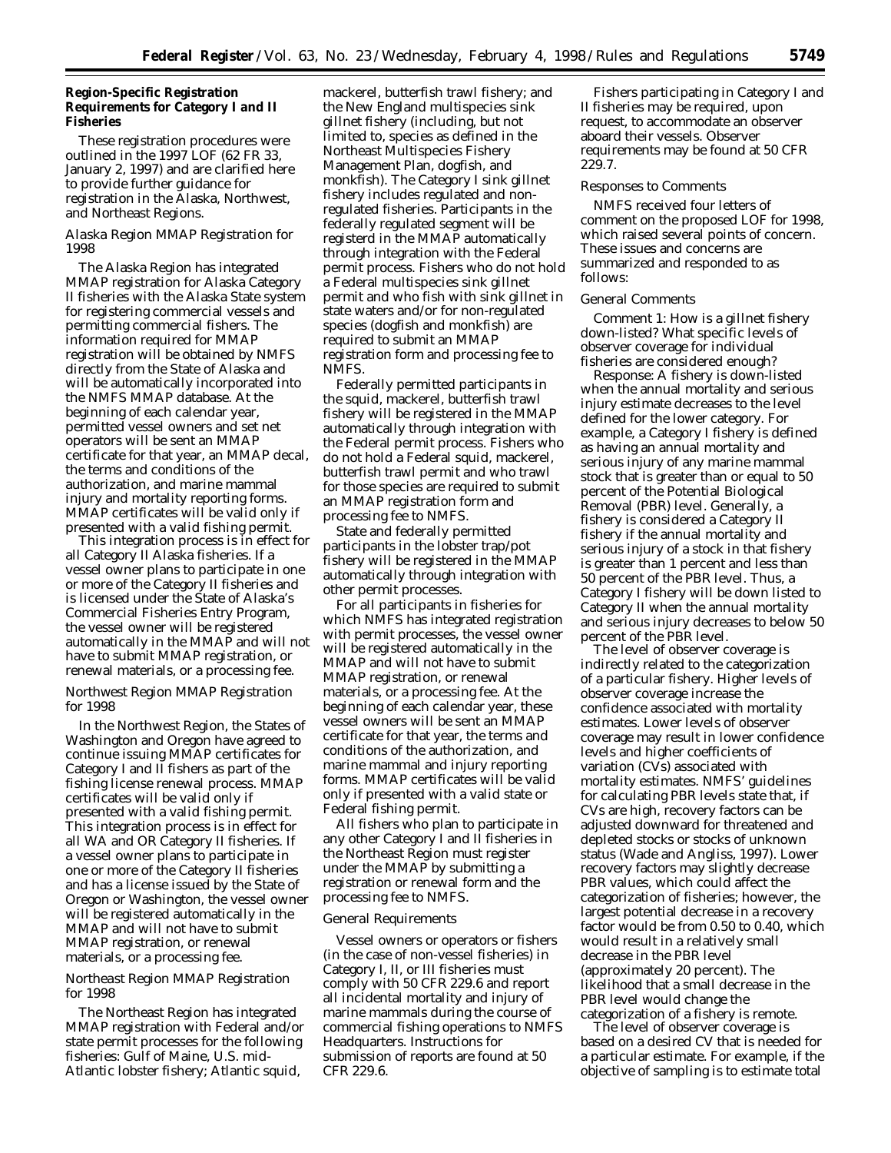# **Region-Specific Registration Requirements for Category I and II Fisheries**

These registration procedures were outlined in the 1997 LOF (62 FR 33, January 2, 1997) and are clarified here to provide further guidance for registration in the Alaska, Northwest, and Northeast Regions.

# *Alaska Region MMAP Registration for 1998*

The Alaska Region has integrated MMAP registration for Alaska Category II fisheries with the Alaska State system for registering commercial vessels and permitting commercial fishers. The information required for MMAP registration will be obtained by NMFS directly from the State of Alaska and will be automatically incorporated into the NMFS MMAP database. At the beginning of each calendar year, permitted vessel owners and set net operators will be sent an MMAP certificate for that year, an MMAP decal, the terms and conditions of the authorization, and marine mammal injury and mortality reporting forms. MMAP certificates will be valid only if presented with a valid fishing permit.

This integration process is in effect for all Category II Alaska fisheries. If a vessel owner plans to participate in one or more of the Category II fisheries and is licensed under the State of Alaska's Commercial Fisheries Entry Program, the vessel owner will be registered automatically in the MMAP and will not have to submit MMAP registration, or renewal materials, or a processing fee.

#### *Northwest Region MMAP Registration for 1998*

In the Northwest Region, the States of Washington and Oregon have agreed to continue issuing MMAP certificates for Category I and II fishers as part of the fishing license renewal process. MMAP certificates will be valid only if presented with a valid fishing permit. This integration process is in effect for all WA and OR Category II fisheries. If a vessel owner plans to participate in one or more of the Category II fisheries and has a license issued by the State of Oregon or Washington, the vessel owner will be registered automatically in the MMAP and will not have to submit MMAP registration, or renewal materials, or a processing fee.

#### *Northeast Region MMAP Registration for 1998*

The Northeast Region has integrated MMAP registration with Federal and/or state permit processes for the following fisheries: Gulf of Maine, U.S. mid-Atlantic lobster fishery; Atlantic squid,

mackerel, butterfish trawl fishery; and the New England multispecies sink gillnet fishery (including, but not limited to, species as defined in the Northeast Multispecies Fishery Management Plan, dogfish, and monkfish). The Category I sink gillnet fishery includes regulated and nonregulated fisheries. Participants in the federally regulated segment will be registerd in the MMAP automatically through integration with the Federal permit process. Fishers who do not hold a Federal multispecies sink gillnet permit and who fish with sink gillnet in state waters and/or for non-regulated species (dogfish and monkfish) are required to submit an MMAP registration form and processing fee to NMFS.

Federally permitted participants in the squid, mackerel, butterfish trawl fishery will be registered in the MMAP automatically through integration with the Federal permit process. Fishers who do not hold a Federal squid, mackerel, butterfish trawl permit and who trawl for those species are required to submit an MMAP registration form and processing fee to NMFS.

State and federally permitted participants in the lobster trap/pot fishery will be registered in the MMAP automatically through integration with other permit processes.

For all participants in fisheries for which NMFS has integrated registration with permit processes, the vessel owner will be registered automatically in the MMAP and will not have to submit MMAP registration, or renewal materials, or a processing fee. At the beginning of each calendar year, these vessel owners will be sent an MMAP certificate for that year, the terms and conditions of the authorization, and marine mammal and injury reporting forms. MMAP certificates will be valid only if presented with a valid state or Federal fishing permit.

All fishers who plan to participate in any other Category I and II fisheries in the Northeast Region must register under the MMAP by submitting a registration or renewal form and the processing fee to NMFS.

#### *General Requirements*

Vessel owners or operators or fishers (in the case of non-vessel fisheries) in Category I, II, or III fisheries must comply with 50 CFR 229.6 and report all incidental mortality and injury of marine mammals during the course of commercial fishing operations to NMFS Headquarters. Instructions for submission of reports are found at 50 CFR 229.6.

Fishers participating in Category I and II fisheries may be required, upon request, to accommodate an observer aboard their vessels. Observer requirements may be found at 50 CFR 229.7.

#### *Responses to Comments*

NMFS received four letters of comment on the proposed LOF for 1998, which raised several points of concern. These issues and concerns are summarized and responded to as follows:

#### *General Comments*

*Comment 1:* How is a gillnet fishery down-listed? What specific levels of observer coverage for individual fisheries are considered enough?

*Response:* A fishery is down-listed when the annual mortality and serious injury estimate decreases to the level defined for the lower category. For example, a Category I fishery is defined as having an annual mortality and serious injury of any marine mammal stock that is greater than or equal to 50 percent of the Potential Biological Removal (PBR) level. Generally, a fishery is considered a Category II fishery if the annual mortality and serious injury of a stock in that fishery is greater than 1 percent and less than 50 percent of the PBR level. Thus, a Category I fishery will be down listed to Category II when the annual mortality and serious injury decreases to below 50 percent of the PBR level.

The level of observer coverage is indirectly related to the categorization of a particular fishery. Higher levels of observer coverage increase the confidence associated with mortality estimates. Lower levels of observer coverage may result in lower confidence levels and higher coefficients of variation (CVs) associated with mortality estimates. NMFS' guidelines for calculating PBR levels state that, if CVs are high, recovery factors can be adjusted downward for threatened and depleted stocks or stocks of unknown status (Wade and Angliss, 1997). Lower recovery factors may slightly decrease PBR values, which could affect the categorization of fisheries; however, the largest potential decrease in a recovery factor would be from 0.50 to 0.40, which would result in a relatively small decrease in the PBR level (approximately 20 percent). The likelihood that a small decrease in the PBR level would change the categorization of a fishery is remote.

The level of observer coverage is based on a desired CV that is needed for a particular estimate. For example, if the objective of sampling is to estimate total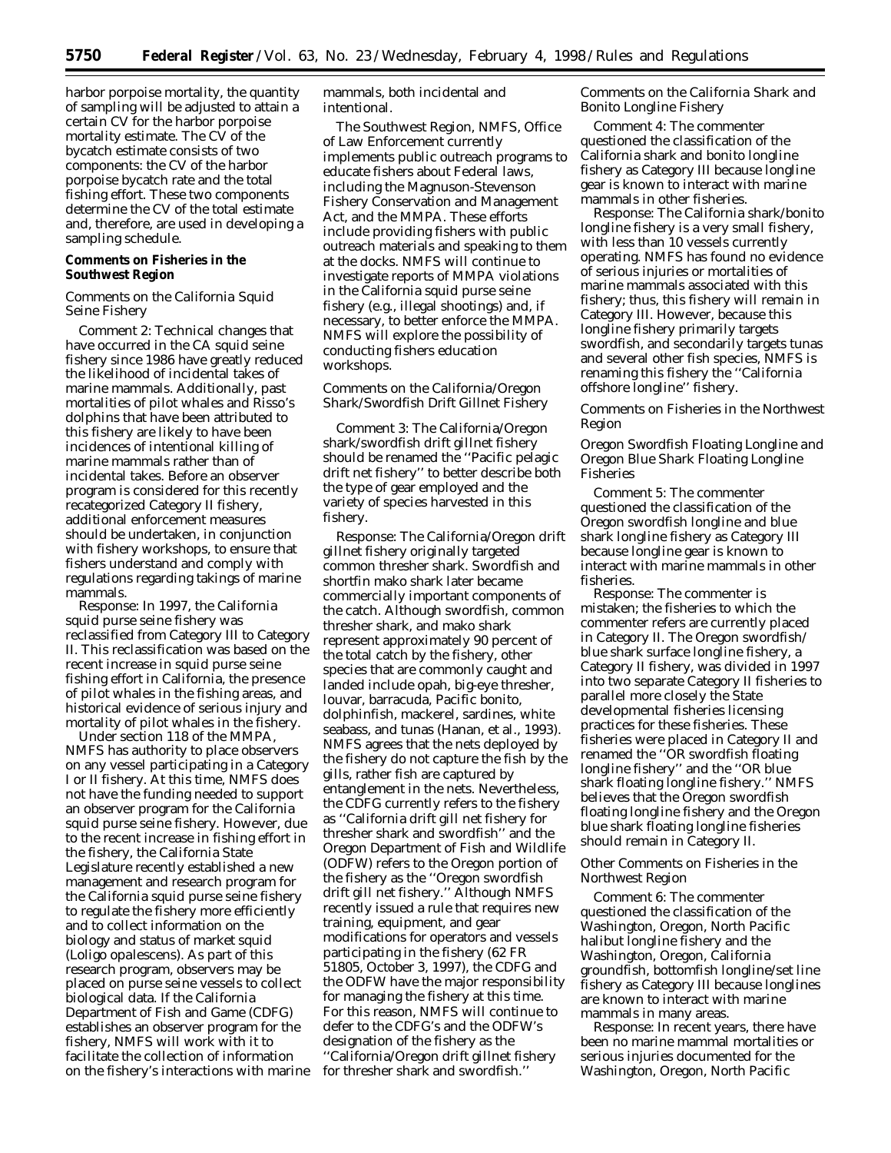harbor porpoise mortality, the quantity of sampling will be adjusted to attain a certain CV for the harbor porpoise mortality estimate. The CV of the bycatch estimate consists of two components: the CV of the harbor porpoise bycatch rate and the total fishing effort. These two components determine the CV of the total estimate and, therefore, are used in developing a sampling schedule.

# **Comments on Fisheries in the Southwest Region**

### *Comments on the California Squid Seine Fishery*

*Comment 2:* Technical changes that have occurred in the CA squid seine fishery since 1986 have greatly reduced the likelihood of incidental takes of marine mammals. Additionally, past mortalities of pilot whales and Risso's dolphins that have been attributed to this fishery are likely to have been incidences of intentional killing of marine mammals rather than of incidental takes. Before an observer program is considered for this recently recategorized Category II fishery, additional enforcement measures should be undertaken, in conjunction with fishery workshops, to ensure that fishers understand and comply with regulations regarding takings of marine mammals.

*Response:* In 1997, the California squid purse seine fishery was reclassified from Category III to Category II. This reclassification was based on the recent increase in squid purse seine fishing effort in California, the presence of pilot whales in the fishing areas, and historical evidence of serious injury and mortality of pilot whales in the fishery.

Under section 118 of the MMPA, NMFS has authority to place observers on any vessel participating in a Category I or II fishery. At this time, NMFS does not have the funding needed to support an observer program for the California squid purse seine fishery. However, due to the recent increase in fishing effort in the fishery, the California State Legislature recently established a new management and research program for the California squid purse seine fishery to regulate the fishery more efficiently and to collect information on the biology and status of market squid (*Loligo opalescens*). As part of this research program, observers may be placed on purse seine vessels to collect biological data. If the California Department of Fish and Game (CDFG) establishes an observer program for the fishery, NMFS will work with it to facilitate the collection of information on the fishery's interactions with marine mammals, both incidental and intentional.

The Southwest Region, NMFS, Office of Law Enforcement currently implements public outreach programs to educate fishers about Federal laws, including the Magnuson-Stevenson Fishery Conservation and Management Act, and the MMPA. These efforts include providing fishers with public outreach materials and speaking to them at the docks. NMFS will continue to investigate reports of MMPA violations in the California squid purse seine fishery (e.g., illegal shootings) and, if necessary, to better enforce the MMPA. NMFS will explore the possibility of conducting fishers education workshops.

### *Comments on the California/Oregon Shark/Swordfish Drift Gillnet Fishery*

*Comment 3:* The California/Oregon shark/swordfish drift gillnet fishery should be renamed the ''Pacific pelagic drift net fishery'' to better describe both the type of gear employed and the variety of species harvested in this fishery.

*Response:* The California/Oregon drift gillnet fishery originally targeted common thresher shark. Swordfish and shortfin mako shark later became commercially important components of the catch. Although swordfish, common thresher shark, and mako shark represent approximately 90 percent of the total catch by the fishery, other species that are commonly caught and landed include opah, big-eye thresher, louvar, barracuda, Pacific bonito, dolphinfish, mackerel, sardines, white seabass, and tunas (Hanan, et al., 1993). NMFS agrees that the nets deployed by the fishery do not capture the fish by the gills, rather fish are captured by entanglement in the nets. Nevertheless, the CDFG currently refers to the fishery as ''California drift gill net fishery for thresher shark and swordfish'' and the Oregon Department of Fish and Wildlife (ODFW) refers to the Oregon portion of the fishery as the ''Oregon swordfish drift gill net fishery.'' Although NMFS recently issued a rule that requires new training, equipment, and gear modifications for operators and vessels participating in the fishery (62 FR 51805, October 3, 1997), the CDFG and the ODFW have the major responsibility for managing the fishery at this time. For this reason, NMFS will continue to defer to the CDFG's and the ODFW's designation of the fishery as the ''California/Oregon drift gillnet fishery for thresher shark and swordfish.''

# *Comments on the California Shark and Bonito Longline Fishery*

*Comment 4:* The commenter questioned the classification of the California shark and bonito longline fishery as Category III because longline gear is known to interact with marine mammals in other fisheries.

*Response:* The California shark/bonito longline fishery is a very small fishery, with less than 10 vessels currently operating. NMFS has found no evidence of serious injuries or mortalities of marine mammals associated with this fishery; thus, this fishery will remain in Category III. However, because this longline fishery primarily targets swordfish, and secondarily targets tunas and several other fish species, NMFS is renaming this fishery the ''California offshore longline'' fishery.

# *Comments on Fisheries in the Northwest Region*

# *Oregon Swordfish Floating Longline and Oregon Blue Shark Floating Longline Fisheries*

*Comment 5:* The commenter questioned the classification of the Oregon swordfish longline and blue shark longline fishery as Category III because longline gear is known to interact with marine mammals in other fisheries.

*Response:* The commenter is mistaken; the fisheries to which the commenter refers are currently placed in Category II. The Oregon swordfish/ blue shark surface longline fishery, a Category II fishery, was divided in 1997 into two separate Category II fisheries to parallel more closely the State developmental fisheries licensing practices for these fisheries. These fisheries were placed in Category II and renamed the ''OR swordfish floating longline fishery'' and the ''OR blue shark floating longline fishery.'' NMFS believes that the Oregon swordfish floating longline fishery and the Oregon blue shark floating longline fisheries should remain in Category II.

# *Other Comments on Fisheries in the Northwest Region*

*Comment 6:* The commenter questioned the classification of the Washington, Oregon, North Pacific halibut longline fishery and the Washington, Oregon, California groundfish, bottomfish longline/set line fishery as Category III because longlines are known to interact with marine mammals in many areas.

*Response:* In recent years, there have been no marine mammal mortalities or serious injuries documented for the Washington, Oregon, North Pacific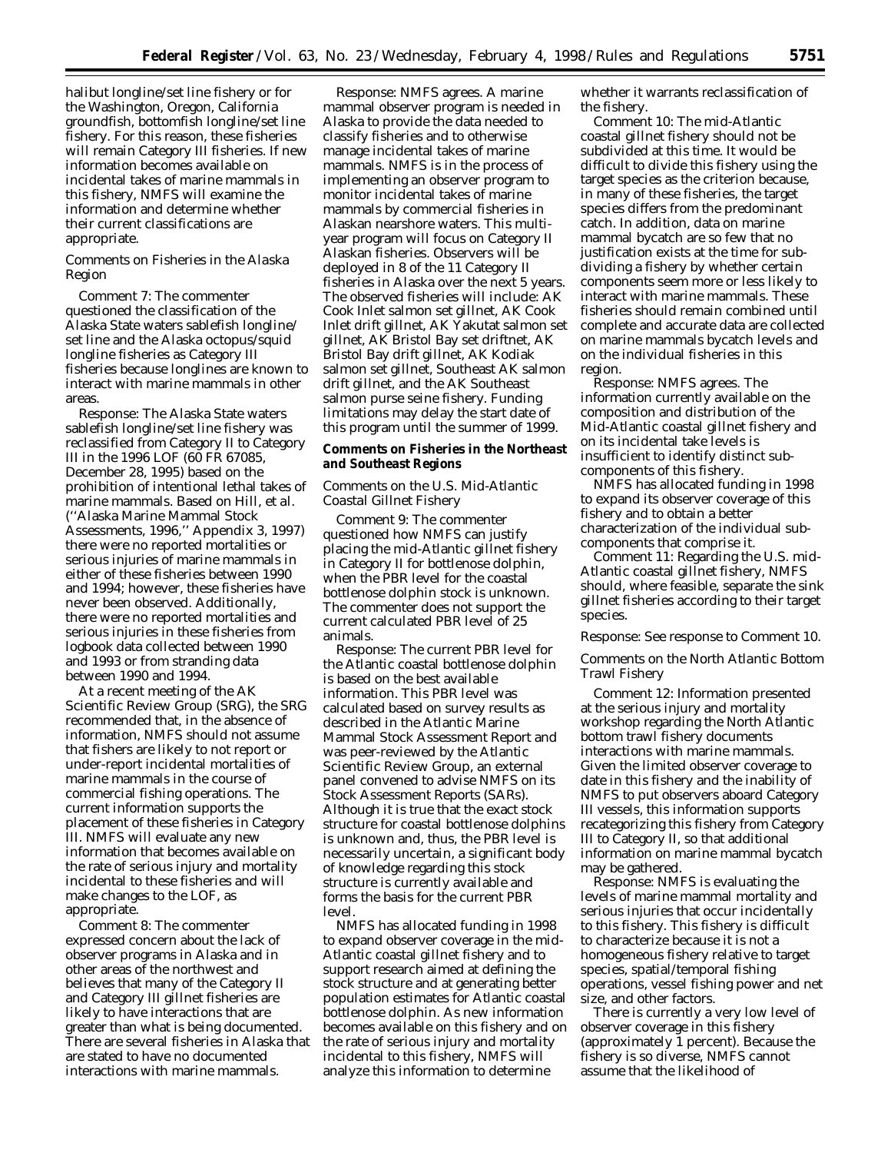halibut longline/set line fishery or for the Washington, Oregon, California groundfish, bottomfish longline/set line fishery. For this reason, these fisheries will remain Category III fisheries. If new information becomes available on incidental takes of marine mammals in this fishery, NMFS will examine the information and determine whether their current classifications are appropriate.

#### *Comments on Fisheries in the Alaska Region*

*Comment 7:* The commenter questioned the classification of the Alaska State waters sablefish longline/ set line and the Alaska octopus/squid longline fisheries as Category III fisheries because longlines are known to interact with marine mammals in other areas.

*Response:* The Alaska State waters sablefish longline/set line fishery was reclassified from Category II to Category III in the 1996 LOF (60 FR 67085, December 28, 1995) based on the prohibition of intentional lethal takes of marine mammals. Based on Hill, *et al.* (''Alaska Marine Mammal Stock Assessments, 1996,'' Appendix 3, 1997) there were no reported mortalities or serious injuries of marine mammals in either of these fisheries between 1990 and 1994; however, these fisheries have never been observed. Additionally, there were no reported mortalities and serious injuries in these fisheries from logbook data collected between 1990 and 1993 or from stranding data between 1990 and 1994.

At a recent meeting of the AK Scientific Review Group (SRG), the SRG recommended that, in the absence of information, NMFS should not assume that fishers are likely to not report or under-report incidental mortalities of marine mammals in the course of commercial fishing operations. The current information supports the placement of these fisheries in Category III. NMFS will evaluate any new information that becomes available on the rate of serious injury and mortality incidental to these fisheries and will make changes to the LOF, as appropriate.

*Comment 8:* The commenter expressed concern about the lack of observer programs in Alaska and in other areas of the northwest and believes that many of the Category II and Category III gillnet fisheries are likely to have interactions that are greater than what is being documented. There are several fisheries in Alaska that are stated to have no documented interactions with marine mammals.

*Response:* NMFS agrees. A marine mammal observer program is needed in Alaska to provide the data needed to classify fisheries and to otherwise manage incidental takes of marine mammals. NMFS is in the process of implementing an observer program to monitor incidental takes of marine mammals by commercial fisheries in Alaskan nearshore waters. This multiyear program will focus on Category II Alaskan fisheries. Observers will be deployed in 8 of the 11 Category II fisheries in Alaska over the next 5 years. The observed fisheries will include: AK Cook Inlet salmon set gillnet, AK Cook Inlet drift gillnet, AK Yakutat salmon set gillnet, AK Bristol Bay set driftnet, AK Bristol Bay drift gillnet, AK Kodiak salmon set gillnet, Southeast AK salmon drift gillnet, and the AK Southeast salmon purse seine fishery. Funding limitations may delay the start date of this program until the summer of 1999.

#### **Comments on Fisheries in the Northeast and Southeast Regions**

# *Comments on the U.S. Mid-Atlantic Coastal Gillnet Fishery*

*Comment 9:* The commenter questioned how NMFS can justify placing the mid-Atlantic gillnet fishery in Category II for bottlenose dolphin, when the PBR level for the coastal bottlenose dolphin stock is unknown. The commenter does not support the current calculated PBR level of 25 animals.

*Response:* The current PBR level for the Atlantic coastal bottlenose dolphin is based on the best available information. This PBR level was calculated based on survey results as described in the Atlantic Marine Mammal Stock Assessment Report and was peer-reviewed by the Atlantic Scientific Review Group, an external panel convened to advise NMFS on its Stock Assessment Reports (SARs). Although it is true that the exact stock structure for coastal bottlenose dolphins is unknown and, thus, the PBR level is necessarily uncertain, a significant body of knowledge regarding this stock structure is currently available and forms the basis for the current PBR level.

NMFS has allocated funding in 1998 to expand observer coverage in the mid-Atlantic coastal gillnet fishery and to support research aimed at defining the stock structure and at generating better population estimates for Atlantic coastal bottlenose dolphin. As new information becomes available on this fishery and on the rate of serious injury and mortality incidental to this fishery, NMFS will analyze this information to determine

whether it warrants reclassification of the fishery.

*Comment 10:* The mid-Atlantic coastal gillnet fishery should not be subdivided at this time. It would be difficult to divide this fishery using the target species as the criterion because, in many of these fisheries, the target species differs from the predominant catch. In addition, data on marine mammal bycatch are so few that no justification exists at the time for subdividing a fishery by whether certain components seem more or less likely to interact with marine mammals. These fisheries should remain combined until complete and accurate data are collected on marine mammals bycatch levels and on the individual fisheries in this region.

*Response:* NMFS agrees. The information currently available on the composition and distribution of the Mid-Atlantic coastal gillnet fishery and on its incidental take levels is insufficient to identify distinct subcomponents of this fishery.

NMFS has allocated funding in 1998 to expand its observer coverage of this fishery and to obtain a better characterization of the individual subcomponents that comprise it.

*Comment 11:* Regarding the U.S. mid-Atlantic coastal gillnet fishery, NMFS should, where feasible, separate the sink gillnet fisheries according to their target species.

#### *Response:* See response to Comment 10.

#### *Comments on the North Atlantic Bottom Trawl Fishery*

*Comment 12:* Information presented at the serious injury and mortality workshop regarding the North Atlantic bottom trawl fishery documents interactions with marine mammals. Given the limited observer coverage to date in this fishery and the inability of NMFS to put observers aboard Category III vessels, this information supports recategorizing this fishery from Category III to Category II, so that additional information on marine mammal bycatch may be gathered.

*Response:* NMFS is evaluating the levels of marine mammal mortality and serious injuries that occur incidentally to this fishery. This fishery is difficult to characterize because it is not a homogeneous fishery relative to target species, spatial/temporal fishing operations, vessel fishing power and net size, and other factors.

There is currently a very low level of observer coverage in this fishery (approximately 1 percent). Because the fishery is so diverse, NMFS cannot assume that the likelihood of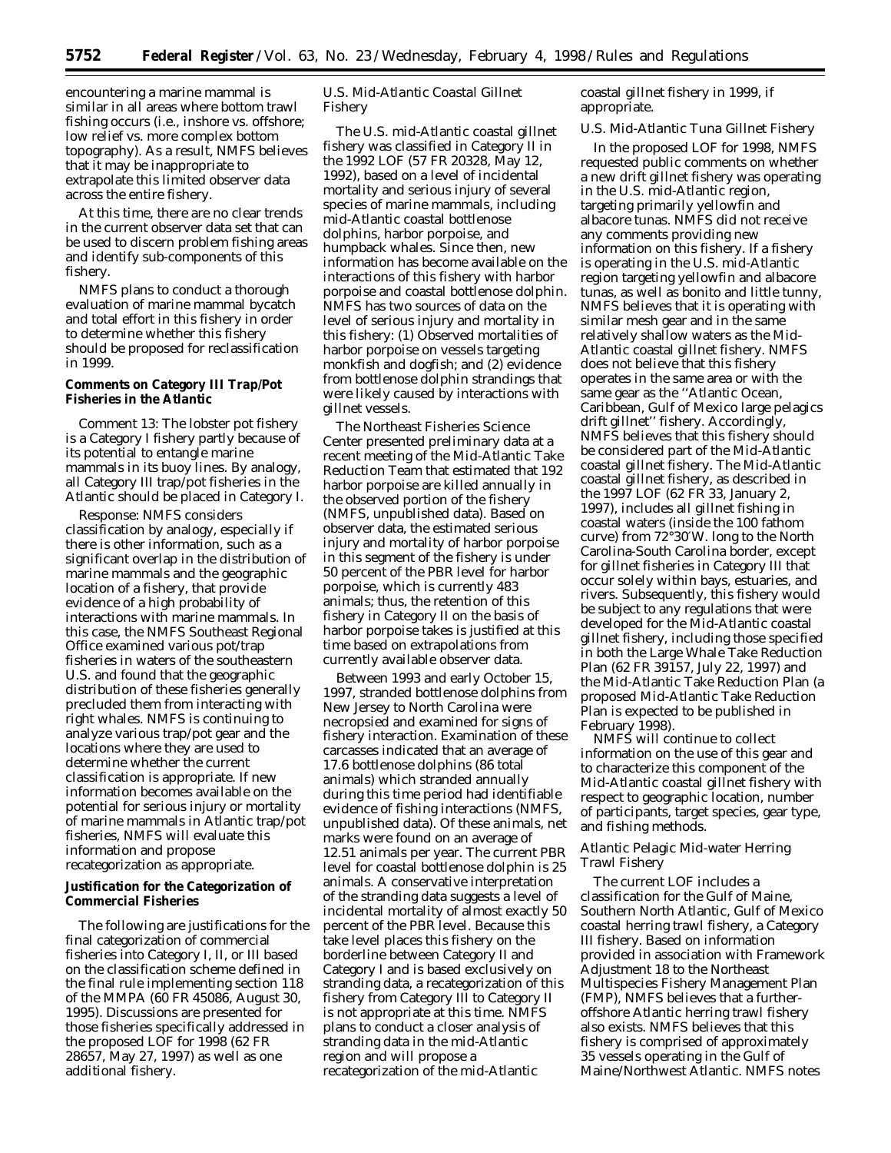encountering a marine mammal is similar in all areas where bottom trawl fishing occurs (i.e., inshore vs. offshore; low relief vs. more complex bottom topography). As a result, NMFS believes that it may be inappropriate to extrapolate this limited observer data across the entire fishery.

At this time, there are no clear trends in the current observer data set that can be used to discern problem fishing areas and identify sub-components of this fishery.

NMFS plans to conduct a thorough evaluation of marine mammal bycatch and total effort in this fishery in order to determine whether this fishery should be proposed for reclassification in 1999.

## **Comments on Category III Trap/Pot Fisheries in the Atlantic**

*Comment 13:* The lobster pot fishery is a Category I fishery partly because of its potential to entangle marine mammals in its buoy lines. By analogy, all Category III trap/pot fisheries in the Atlantic should be placed in Category I.

*Response:* NMFS considers classification by analogy, especially if there is other information, such as a significant overlap in the distribution of marine mammals and the geographic location of a fishery, that provide evidence of a high probability of interactions with marine mammals. In this case, the NMFS Southeast Regional Office examined various pot/trap fisheries in waters of the southeastern U.S. and found that the geographic distribution of these fisheries generally precluded them from interacting with right whales. NMFS is continuing to analyze various trap/pot gear and the locations where they are used to determine whether the current classification is appropriate. If new information becomes available on the potential for serious injury or mortality of marine mammals in Atlantic trap/pot fisheries, NMFS will evaluate this information and propose recategorization as appropriate.

# **Justification for the Categorization of Commercial Fisheries**

The following are justifications for the final categorization of commercial fisheries into Category I, II, or III based on the classification scheme defined in the final rule implementing section 118 of the MMPA (60 FR 45086, August 30, 1995). Discussions are presented for those fisheries specifically addressed in the proposed LOF for 1998 (62 FR 28657, May 27, 1997) as well as one additional fishery.

# *U.S. Mid-Atlantic Coastal Gillnet Fishery*

The U.S. mid-Atlantic coastal gillnet fishery was classified in Category II in the 1992 LOF (57 FR 20328, May 12, 1992), based on a level of incidental mortality and serious injury of several species of marine mammals, including mid-Atlantic coastal bottlenose dolphins, harbor porpoise, and humpback whales. Since then, new information has become available on the interactions of this fishery with harbor porpoise and coastal bottlenose dolphin. NMFS has two sources of data on the level of serious injury and mortality in this fishery: (1) Observed mortalities of harbor porpoise on vessels targeting monkfish and dogfish; and (2) evidence from bottlenose dolphin strandings that were likely caused by interactions with gillnet vessels.

The Northeast Fisheries Science Center presented preliminary data at a recent meeting of the Mid-Atlantic Take Reduction Team that estimated that 192 harbor porpoise are killed annually in the observed portion of the fishery (NMFS, unpublished data). Based on observer data, the estimated serious injury and mortality of harbor porpoise in this segment of the fishery is under 50 percent of the PBR level for harbor porpoise, which is currently 483 animals; thus, the retention of this fishery in Category II on the basis of harbor porpoise takes is justified at this time based on extrapolations from currently available observer data.

Between 1993 and early October 15, 1997, stranded bottlenose dolphins from New Jersey to North Carolina were necropsied and examined for signs of fishery interaction. Examination of these carcasses indicated that an average of 17.6 bottlenose dolphins (86 total animals) which stranded annually during this time period had identifiable evidence of fishing interactions (NMFS, unpublished data). Of these animals, net marks were found on an average of 12.51 animals per year. The current PBR level for coastal bottlenose dolphin is 25 animals. A conservative interpretation of the stranding data suggests a level of incidental mortality of almost exactly 50 percent of the PBR level. Because this take level places this fishery on the borderline between Category II and Category I and is based exclusively on stranding data, a recategorization of this fishery from Category III to Category II is not appropriate at this time. NMFS plans to conduct a closer analysis of stranding data in the mid-Atlantic region and will propose a recategorization of the mid-Atlantic

coastal gillnet fishery in 1999, if appropriate.

# *U.S. Mid-Atlantic Tuna Gillnet Fishery*

In the proposed LOF for 1998, NMFS requested public comments on whether a new drift gillnet fishery was operating in the U.S. mid-Atlantic region, targeting primarily yellowfin and albacore tunas. NMFS did not receive any comments providing new information on this fishery. If a fishery is operating in the U.S. mid-Atlantic region targeting yellowfin and albacore tunas, as well as bonito and little tunny, NMFS believes that it is operating with similar mesh gear and in the same relatively shallow waters as the Mid-Atlantic coastal gillnet fishery. NMFS does not believe that this fishery operates in the same area or with the same gear as the ''Atlantic Ocean, Caribbean, Gulf of Mexico large pelagics drift gillnet'' fishery. Accordingly, NMFS believes that this fishery should be considered part of the Mid-Atlantic coastal gillnet fishery. The Mid-Atlantic coastal gillnet fishery, as described in the 1997 LOF (62 FR 33, January 2, 1997), includes all gillnet fishing in coastal waters (inside the 100 fathom curve) from 72°30′W. long to the North Carolina-South Carolina border, except for gillnet fisheries in Category III that occur solely within bays, estuaries, and rivers. Subsequently, this fishery would be subject to any regulations that were developed for the Mid-Atlantic coastal gillnet fishery, including those specified in both the Large Whale Take Reduction Plan (62 FR 39157, July 22, 1997) and the Mid-Atlantic Take Reduction Plan (a proposed Mid-Atlantic Take Reduction Plan is expected to be published in February 1998).

NMFS will continue to collect information on the use of this gear and to characterize this component of the Mid-Atlantic coastal gillnet fishery with respect to geographic location, number of participants, target species, gear type, and fishing methods.

# *Atlantic Pelagic Mid-water Herring Trawl Fishery*

The current LOF includes a classification for the Gulf of Maine, Southern North Atlantic, Gulf of Mexico coastal herring trawl fishery, a Category III fishery. Based on information provided in association with Framework Adjustment 18 to the Northeast Multispecies Fishery Management Plan (FMP), NMFS believes that a furtheroffshore Atlantic herring trawl fishery also exists. NMFS believes that this fishery is comprised of approximately 35 vessels operating in the Gulf of Maine/Northwest Atlantic. NMFS notes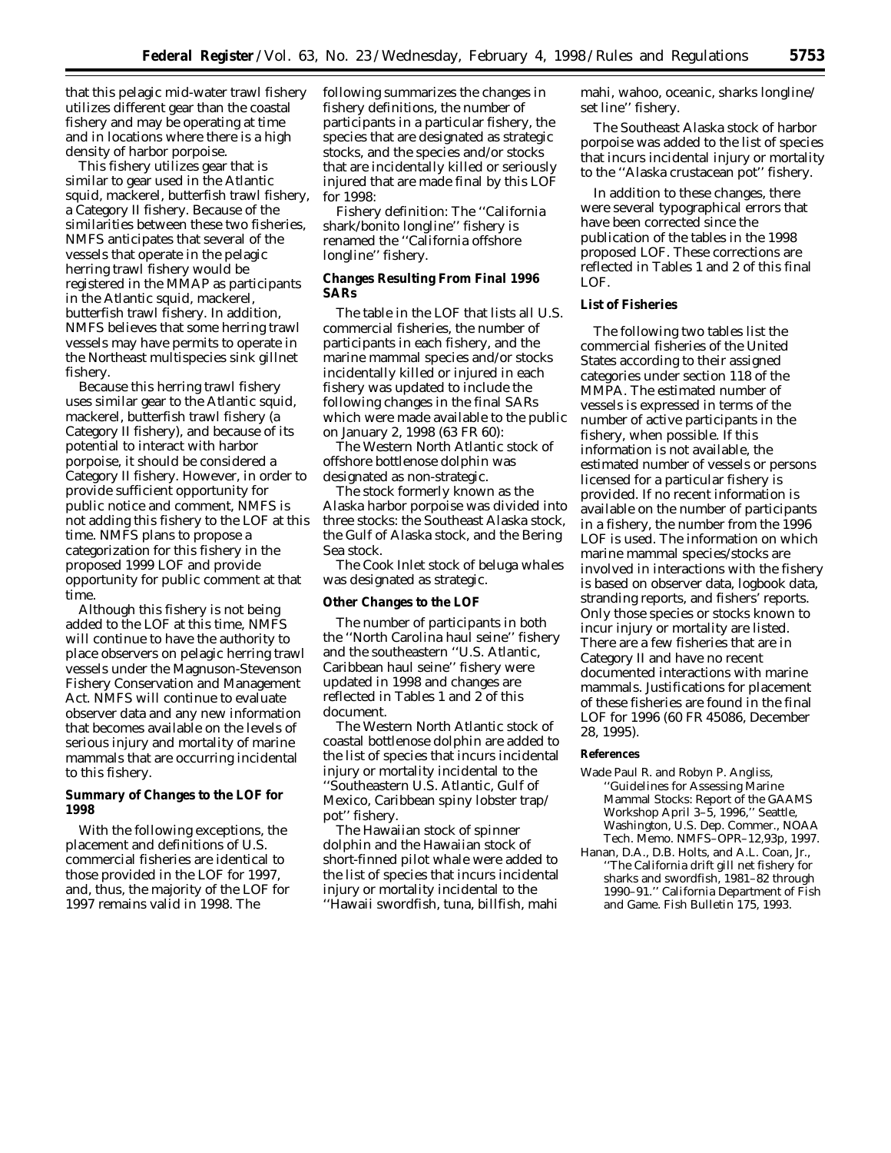that this pelagic mid-water trawl fishery utilizes different gear than the coastal fishery and may be operating at time and in locations where there is a high density of harbor porpoise.

This fishery utilizes gear that is similar to gear used in the Atlantic squid, mackerel, butterfish trawl fishery, a Category II fishery. Because of the similarities between these two fisheries, NMFS anticipates that several of the vessels that operate in the pelagic herring trawl fishery would be registered in the MMAP as participants in the Atlantic squid, mackerel, butterfish trawl fishery. In addition, NMFS believes that some herring trawl vessels may have permits to operate in the Northeast multispecies sink gillnet fishery.

Because this herring trawl fishery uses similar gear to the Atlantic squid, mackerel, butterfish trawl fishery (a Category II fishery), and because of its potential to interact with harbor porpoise, it should be considered a Category II fishery. However, in order to provide sufficient opportunity for public notice and comment, NMFS is not adding this fishery to the LOF at this time. NMFS plans to propose a categorization for this fishery in the proposed 1999 LOF and provide opportunity for public comment at that time.

Although this fishery is not being added to the LOF at this time, NMFS will continue to have the authority to place observers on pelagic herring trawl vessels under the Magnuson-Stevenson Fishery Conservation and Management Act. NMFS will continue to evaluate observer data and any new information that becomes available on the levels of serious injury and mortality of marine mammals that are occurring incidental to this fishery.

# **Summary of Changes to the LOF for 1998**

With the following exceptions, the placement and definitions of U.S. commercial fisheries are identical to those provided in the LOF for 1997, and, thus, the majority of the LOF for 1997 remains valid in 1998. The

following summarizes the changes in fishery definitions, the number of participants in a particular fishery, the species that are designated as strategic stocks, and the species and/or stocks that are incidentally killed or seriously injured that are made final by this LOF for 1998:

Fishery definition: The ''California shark/bonito longline'' fishery is renamed the ''California offshore longline'' fishery.

# **Changes Resulting From Final 1996 SARs**

The table in the LOF that lists all U.S. commercial fisheries, the number of participants in each fishery, and the marine mammal species and/or stocks incidentally killed or injured in each fishery was updated to include the following changes in the final SARs which were made available to the public on January 2, 1998 (63 FR 60):

The Western North Atlantic stock of offshore bottlenose dolphin was designated as non-strategic.

The stock formerly known as the Alaska harbor porpoise was divided into three stocks: the Southeast Alaska stock, the Gulf of Alaska stock, and the Bering Sea stock.

The Cook Inlet stock of beluga whales was designated as strategic.

#### **Other Changes to the LOF**

The number of participants in both the ''North Carolina haul seine'' fishery and the southeastern ''U.S. Atlantic, Caribbean haul seine'' fishery were updated in 1998 and changes are reflected in Tables 1 and 2 of this document.

The Western North Atlantic stock of coastal bottlenose dolphin are added to the list of species that incurs incidental injury or mortality incidental to the ''Southeastern U.S. Atlantic, Gulf of Mexico, Caribbean spiny lobster trap/ pot'' fishery.

The Hawaiian stock of spinner dolphin and the Hawaiian stock of short-finned pilot whale were added to the list of species that incurs incidental injury or mortality incidental to the ''Hawaii swordfish, tuna, billfish, mahi

mahi, wahoo, oceanic, sharks longline/ set line'' fishery.

The Southeast Alaska stock of harbor porpoise was added to the list of species that incurs incidental injury or mortality to the ''Alaska crustacean pot'' fishery.

In addition to these changes, there were several typographical errors that have been corrected since the publication of the tables in the 1998 proposed LOF. These corrections are reflected in Tables 1 and 2 of this final LOF.

# **List of Fisheries**

The following two tables list the commercial fisheries of the United States according to their assigned categories under section 118 of the MMPA. The estimated number of vessels is expressed in terms of the number of active participants in the fishery, when possible. If this information is not available, the estimated number of vessels or persons licensed for a particular fishery is provided. If no recent information is available on the number of participants in a fishery, the number from the 1996 LOF is used. The information on which marine mammal species/stocks are involved in interactions with the fishery is based on observer data, logbook data, stranding reports, and fishers' reports. Only those species or stocks known to incur injury or mortality are listed. There are a few fisheries that are in Category II and have no recent documented interactions with marine mammals. Justifications for placement of these fisheries are found in the final LOF for 1996 (60 FR 45086, December 28, 1995).

#### **References**

- Wade Paul R. and Robyn P. Angliss, ''Guidelines for Assessing Marine Mammal Stocks: Report of the GAAMS Workshop April 3–5, 1996,'' Seattle, Washington, U.S. Dep. Commer., NOAA Tech. Memo. NMFS–OPR–12,93p, 1997.
- Hanan, D.A., D.B. Holts, and A.L. Coan, Jr., ''The California drift gill net fishery for sharks and swordfish, 1981–82 through 1990–91.'' California Department of Fish and Game. Fish Bulletin 175, 1993.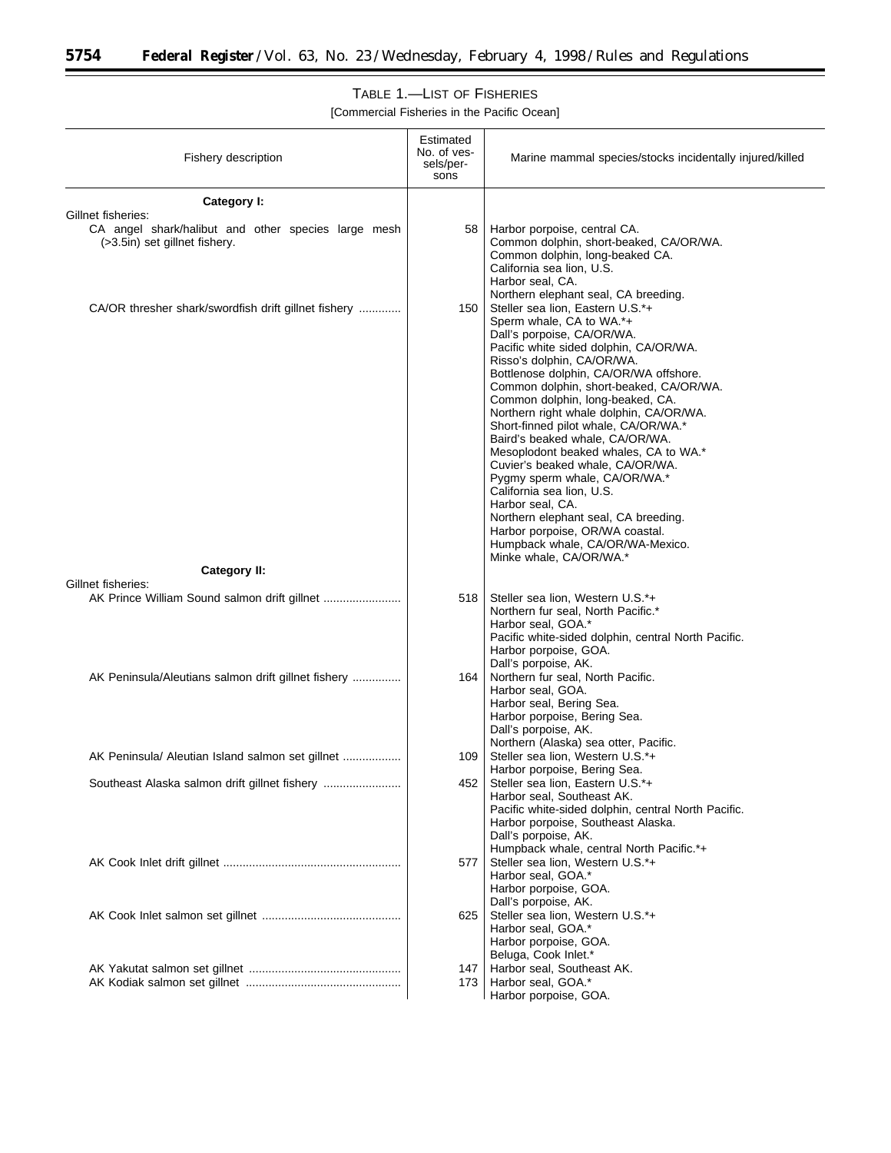-

# TABLE 1.—LIST OF FISHERIES

| Fishery description                                                                                        | Estimated<br>No. of ves-<br>sels/per-<br>sons | Marine mammal species/stocks incidentally injured/killed                                                                                                                                                                                                                                                                                                                                                                                                                                                                                                                                                                                                                                                                   |
|------------------------------------------------------------------------------------------------------------|-----------------------------------------------|----------------------------------------------------------------------------------------------------------------------------------------------------------------------------------------------------------------------------------------------------------------------------------------------------------------------------------------------------------------------------------------------------------------------------------------------------------------------------------------------------------------------------------------------------------------------------------------------------------------------------------------------------------------------------------------------------------------------------|
| Category I:                                                                                                |                                               |                                                                                                                                                                                                                                                                                                                                                                                                                                                                                                                                                                                                                                                                                                                            |
| Gillnet fisheries:<br>CA angel shark/halibut and other species large mesh<br>(>3.5in) set gillnet fishery. | 58                                            | Harbor porpoise, central CA.<br>Common dolphin, short-beaked, CA/OR/WA.<br>Common dolphin, long-beaked CA.<br>California sea lion, U.S.<br>Harbor seal, CA.<br>Northern elephant seal, CA breeding.                                                                                                                                                                                                                                                                                                                                                                                                                                                                                                                        |
| CA/OR thresher shark/swordfish drift gillnet fishery<br>Category II:                                       | 150                                           | Steller sea lion, Eastern U.S.*+<br>Sperm whale, CA to WA.*+<br>Dall's porpoise, CA/OR/WA.<br>Pacific white sided dolphin, CA/OR/WA.<br>Risso's dolphin, CA/OR/WA.<br>Bottlenose dolphin, CA/OR/WA offshore.<br>Common dolphin, short-beaked, CA/OR/WA.<br>Common dolphin, long-beaked, CA.<br>Northern right whale dolphin, CA/OR/WA.<br>Short-finned pilot whale, CA/OR/WA.*<br>Baird's beaked whale, CA/OR/WA.<br>Mesoplodont beaked whales, CA to WA.*<br>Cuvier's beaked whale, CA/OR/WA.<br>Pygmy sperm whale, CA/OR/WA.*<br>California sea lion, U.S.<br>Harbor seal, CA.<br>Northern elephant seal, CA breeding.<br>Harbor porpoise, OR/WA coastal.<br>Humpback whale, CA/OR/WA-Mexico.<br>Minke whale, CA/OR/WA.* |
| Gillnet fisheries:                                                                                         | 518                                           | Steller sea lion, Western U.S.*+<br>Northern fur seal, North Pacific.*<br>Harbor seal, GOA.*<br>Pacific white-sided dolphin, central North Pacific.<br>Harbor porpoise, GOA.<br>Dall's porpoise, AK.                                                                                                                                                                                                                                                                                                                                                                                                                                                                                                                       |
| AK Peninsula/Aleutians salmon drift gillnet fishery                                                        | 164                                           | Northern fur seal, North Pacific.<br>Harbor seal, GOA.<br>Harbor seal, Bering Sea.<br>Harbor porpoise, Bering Sea.<br>Dall's porpoise, AK.<br>Northern (Alaska) sea otter, Pacific.                                                                                                                                                                                                                                                                                                                                                                                                                                                                                                                                        |
| AK Peninsula/ Aleutian Island salmon set gillnet                                                           | 109                                           | Steller sea lion, Western U.S.*+<br>Harbor porpoise, Bering Sea.                                                                                                                                                                                                                                                                                                                                                                                                                                                                                                                                                                                                                                                           |
| Southeast Alaska salmon drift gillnet fishery                                                              | 452                                           | Steller sea lion, Eastern U.S.*+<br>Harbor seal, Southeast AK.<br>Pacific white-sided dolphin, central North Pacific.<br>Harbor porpoise, Southeast Alaska.<br>Dall's porpoise, AK.<br>Humpback whale, central North Pacific.*+                                                                                                                                                                                                                                                                                                                                                                                                                                                                                            |
|                                                                                                            | 577                                           | Steller sea lion, Western U.S.*+<br>Harbor seal, GOA.*<br>Harbor porpoise, GOA.<br>Dall's porpoise, AK.                                                                                                                                                                                                                                                                                                                                                                                                                                                                                                                                                                                                                    |
|                                                                                                            | 625                                           | Steller sea lion, Western U.S.*+<br>Harbor seal, GOA.*<br>Harbor porpoise, GOA.<br>Beluga, Cook Inlet.*                                                                                                                                                                                                                                                                                                                                                                                                                                                                                                                                                                                                                    |
|                                                                                                            | 147                                           | Harbor seal, Southeast AK.                                                                                                                                                                                                                                                                                                                                                                                                                                                                                                                                                                                                                                                                                                 |
|                                                                                                            | 173                                           | Harbor seal, GOA.*<br>Harbor porpoise, GOA.                                                                                                                                                                                                                                                                                                                                                                                                                                                                                                                                                                                                                                                                                |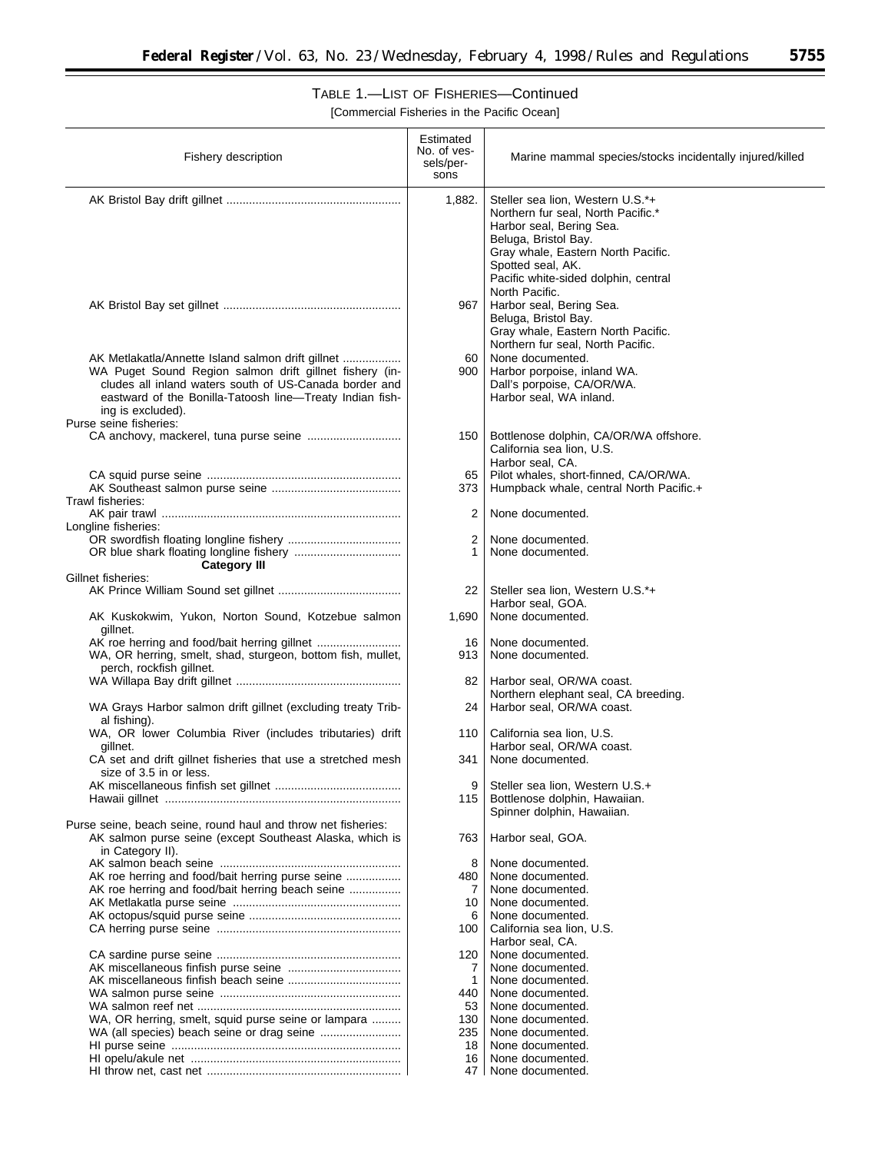$\equiv$ 

# TABLE 1.—LIST OF FISHERIES—Continued

| Fishery description                                                                                                                                                                                                                                     | Estimated<br>No. of ves-<br>sels/per-<br>sons | Marine mammal species/stocks incidentally injured/killed                                                                                                                                                                                        |
|---------------------------------------------------------------------------------------------------------------------------------------------------------------------------------------------------------------------------------------------------------|-----------------------------------------------|-------------------------------------------------------------------------------------------------------------------------------------------------------------------------------------------------------------------------------------------------|
|                                                                                                                                                                                                                                                         | 1,882.                                        | Steller sea lion, Western U.S.*+<br>Northern fur seal, North Pacific.*<br>Harbor seal, Bering Sea.<br>Beluga, Bristol Bay.<br>Gray whale, Eastern North Pacific.<br>Spotted seal, AK.<br>Pacific white-sided dolphin, central<br>North Pacific. |
|                                                                                                                                                                                                                                                         | 967                                           | Harbor seal, Bering Sea.<br>Beluga, Bristol Bay.<br>Gray whale, Eastern North Pacific.<br>Northern fur seal, North Pacific.                                                                                                                     |
| AK Metlakatla/Annette Island salmon drift gillnet<br>WA Puget Sound Region salmon drift gillnet fishery (in-<br>cludes all inland waters south of US-Canada border and<br>eastward of the Bonilla-Tatoosh line-Treaty Indian fish-<br>ing is excluded). | 60<br>900                                     | None documented.<br>Harbor porpoise, inland WA.<br>Dall's porpoise, CA/OR/WA.<br>Harbor seal, WA inland.                                                                                                                                        |
| Purse seine fisheries:                                                                                                                                                                                                                                  | 150                                           | Bottlenose dolphin, CA/OR/WA offshore.<br>California sea lion, U.S.<br>Harbor seal, CA.                                                                                                                                                         |
| Trawl fisheries:                                                                                                                                                                                                                                        | 65<br>373                                     | Pilot whales, short-finned, CA/OR/WA.<br>Humpback whale, central North Pacific.+                                                                                                                                                                |
| Longline fisheries:                                                                                                                                                                                                                                     | 2                                             | None documented.                                                                                                                                                                                                                                |
| <b>Category III</b>                                                                                                                                                                                                                                     | 2                                             | None documented.<br>None documented.                                                                                                                                                                                                            |
| Gillnet fisheries:                                                                                                                                                                                                                                      |                                               |                                                                                                                                                                                                                                                 |
|                                                                                                                                                                                                                                                         | 22                                            | Steller sea lion, Western U.S.*+<br>Harbor seal, GOA.                                                                                                                                                                                           |
| AK Kuskokwim, Yukon, Norton Sound, Kotzebue salmon<br>gillnet.                                                                                                                                                                                          | 1,690                                         | None documented.                                                                                                                                                                                                                                |
| WA, OR herring, smelt, shad, sturgeon, bottom fish, mullet,<br>perch, rockfish gillnet.                                                                                                                                                                 | 16<br>913                                     | None documented.<br>None documented.                                                                                                                                                                                                            |
| WA Grays Harbor salmon drift gillnet (excluding treaty Trib-                                                                                                                                                                                            | 82<br>24                                      | Harbor seal, OR/WA coast.<br>Northern elephant seal, CA breeding.<br>Harbor seal, OR/WA coast.                                                                                                                                                  |
| al fishing).<br>WA, OR lower Columbia River (includes tributaries) drift                                                                                                                                                                                | 110                                           | California sea lion, U.S.                                                                                                                                                                                                                       |
| gillnet.<br>CA set and drift gillnet fisheries that use a stretched mesh<br>size of 3.5 in or less.                                                                                                                                                     | 341                                           | Harbor seal, OR/WA coast.<br>None documented.                                                                                                                                                                                                   |
|                                                                                                                                                                                                                                                         | 9<br>115                                      | Steller sea lion, Western U.S.+<br>Bottlenose dolphin, Hawaiian.<br>Spinner dolphin, Hawaiian.                                                                                                                                                  |
| Purse seine, beach seine, round haul and throw net fisheries:<br>AK salmon purse seine (except Southeast Alaska, which is<br>in Category II).                                                                                                           | 763                                           | Harbor seal, GOA.                                                                                                                                                                                                                               |
|                                                                                                                                                                                                                                                         | 8                                             | None documented.                                                                                                                                                                                                                                |
| AK roe herring and food/bait herring purse seine                                                                                                                                                                                                        | 480                                           | None documented.                                                                                                                                                                                                                                |
| AK roe herring and food/bait herring beach seine                                                                                                                                                                                                        | 7                                             | None documented.                                                                                                                                                                                                                                |
|                                                                                                                                                                                                                                                         | 10<br>6                                       | None documented.<br>None documented.                                                                                                                                                                                                            |
|                                                                                                                                                                                                                                                         | 100                                           | California sea lion, U.S.                                                                                                                                                                                                                       |
|                                                                                                                                                                                                                                                         |                                               | Harbor seal, CA.                                                                                                                                                                                                                                |
|                                                                                                                                                                                                                                                         | 120                                           | None documented.<br>None documented.                                                                                                                                                                                                            |
|                                                                                                                                                                                                                                                         | 7<br>1                                        | None documented.                                                                                                                                                                                                                                |
|                                                                                                                                                                                                                                                         | 440                                           | None documented.                                                                                                                                                                                                                                |
|                                                                                                                                                                                                                                                         | 53                                            | None documented.                                                                                                                                                                                                                                |
| WA, OR herring, smelt, squid purse seine or lampara                                                                                                                                                                                                     | 130                                           | None documented.                                                                                                                                                                                                                                |
|                                                                                                                                                                                                                                                         | 235                                           | None documented.                                                                                                                                                                                                                                |
|                                                                                                                                                                                                                                                         | 18                                            | None documented.                                                                                                                                                                                                                                |
|                                                                                                                                                                                                                                                         | 16                                            | None documented.                                                                                                                                                                                                                                |
|                                                                                                                                                                                                                                                         | 47 I                                          | None documented.                                                                                                                                                                                                                                |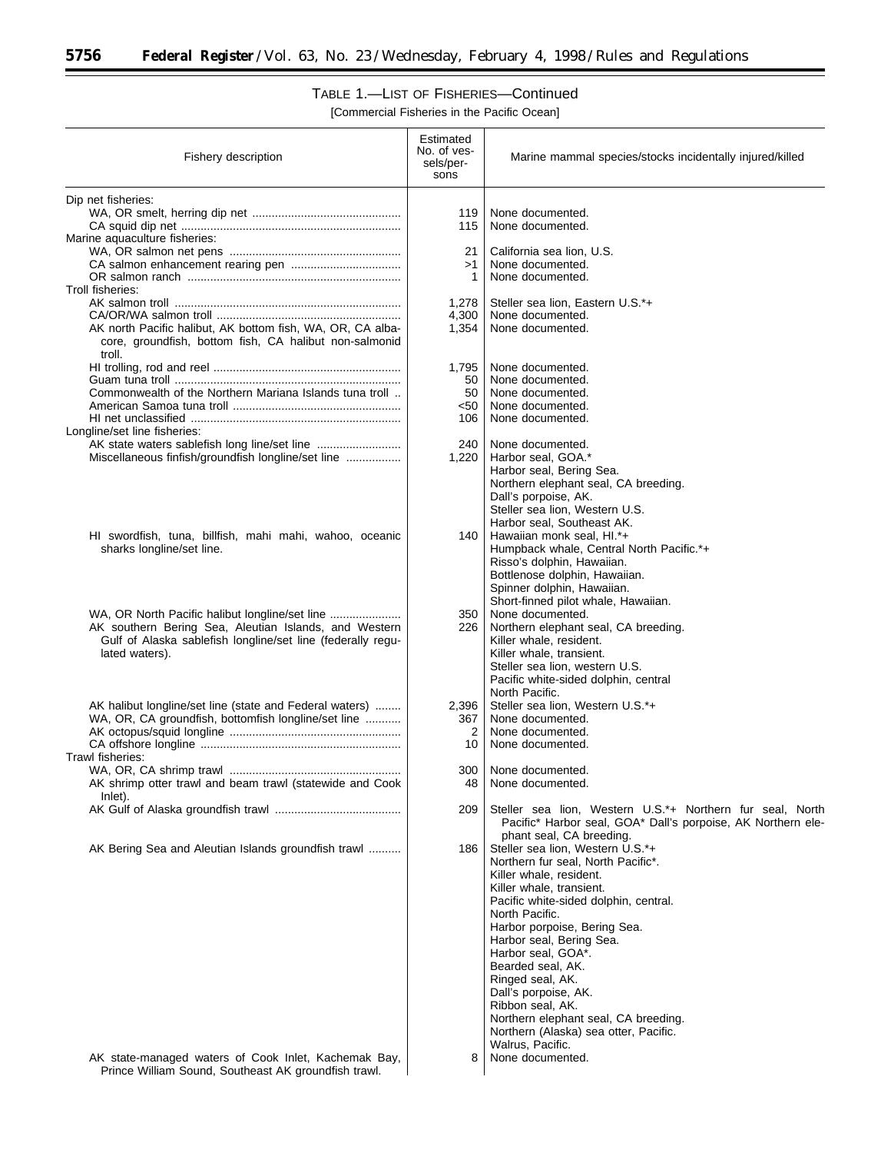Ξ

# TABLE 1.—LIST OF FISHERIES—Continued

| Fishery description                                                                                                  | Estimated<br>No. of ves-<br>sels/per-<br>sons | Marine mammal species/stocks incidentally injured/killed               |
|----------------------------------------------------------------------------------------------------------------------|-----------------------------------------------|------------------------------------------------------------------------|
| Dip net fisheries:                                                                                                   |                                               |                                                                        |
|                                                                                                                      | 119                                           | None documented.                                                       |
|                                                                                                                      | 115                                           | None documented.                                                       |
| Marine aquaculture fisheries:                                                                                        |                                               |                                                                        |
|                                                                                                                      | 21<br>>1                                      | California sea lion, U.S.<br>None documented.                          |
|                                                                                                                      | 1                                             | None documented.                                                       |
| Troll fisheries:                                                                                                     |                                               |                                                                        |
|                                                                                                                      | 1,278                                         | Steller sea lion, Eastern U.S.*+                                       |
|                                                                                                                      | 4,300                                         | None documented.                                                       |
| AK north Pacific halibut, AK bottom fish, WA, OR, CA alba-<br>core, groundfish, bottom fish, CA halibut non-salmonid | 1,354                                         | None documented.                                                       |
| troll.                                                                                                               |                                               |                                                                        |
|                                                                                                                      | 1,795                                         | None documented.                                                       |
|                                                                                                                      | 50                                            | None documented.                                                       |
| Commonwealth of the Northern Mariana Islands tuna troll                                                              | 50                                            | None documented.                                                       |
|                                                                                                                      | $50$<br>106                                   | None documented.<br>None documented.                                   |
| Longline/set line fisheries:                                                                                         |                                               |                                                                        |
| AK state waters sablefish long line/set line                                                                         | 240                                           | None documented.                                                       |
| Miscellaneous finfish/groundfish longline/set line                                                                   | 1,220                                         | Harbor seal, GOA.*                                                     |
|                                                                                                                      |                                               | Harbor seal, Bering Sea.<br>Northern elephant seal, CA breeding.       |
|                                                                                                                      |                                               | Dall's porpoise, AK.                                                   |
|                                                                                                                      |                                               | Steller sea lion, Western U.S.                                         |
|                                                                                                                      |                                               | Harbor seal, Southeast AK.                                             |
| HI swordfish, tuna, billfish, mahi mahi, wahoo, oceanic                                                              | 140                                           | Hawaiian monk seal, Hl.*+                                              |
| sharks longline/set line.                                                                                            |                                               | Humpback whale, Central North Pacific.*+<br>Risso's dolphin, Hawaiian. |
|                                                                                                                      |                                               | Bottlenose dolphin, Hawaiian.                                          |
|                                                                                                                      |                                               | Spinner dolphin, Hawaiian.                                             |
|                                                                                                                      |                                               | Short-finned pilot whale, Hawaiian.                                    |
|                                                                                                                      | 350                                           | None documented.                                                       |
| AK southern Bering Sea, Aleutian Islands, and Western<br>Gulf of Alaska sablefish longline/set line (federally regu- | 226                                           | Northern elephant seal, CA breeding.<br>Killer whale, resident.        |
| lated waters).                                                                                                       |                                               | Killer whale, transient.                                               |
|                                                                                                                      |                                               | Steller sea lion, western U.S.                                         |
|                                                                                                                      |                                               | Pacific white-sided dolphin, central                                   |
| AK halibut longline/set line (state and Federal waters)                                                              |                                               | North Pacific.<br>Steller sea lion, Western U.S.*+                     |
| WA, OR, CA groundfish, bottomfish longline/set line                                                                  | 2,396<br>367                                  | None documented.                                                       |
|                                                                                                                      | 2                                             | None documented.                                                       |
|                                                                                                                      | 10                                            | None documented.                                                       |
| Trawl fisheries:                                                                                                     |                                               |                                                                        |
| AK shrimp otter trawl and beam trawl (statewide and Cook                                                             | 300<br>48                                     | None documented.<br>None documented.                                   |
| Inlet).                                                                                                              |                                               |                                                                        |
|                                                                                                                      | 209                                           | Steller sea lion, Western U.S.*+ Northern fur seal, North              |
|                                                                                                                      |                                               | Pacific* Harbor seal, GOA* Dall's porpoise, AK Northern ele-           |
|                                                                                                                      |                                               | phant seal, CA breeding.                                               |
| AK Bering Sea and Aleutian Islands groundfish trawl                                                                  | 186                                           | Steller sea lion, Western U.S.*+<br>Northern fur seal, North Pacific*. |
|                                                                                                                      |                                               | Killer whale, resident.                                                |
|                                                                                                                      |                                               | Killer whale, transient.                                               |
|                                                                                                                      |                                               | Pacific white-sided dolphin, central.                                  |
|                                                                                                                      |                                               | North Pacific.                                                         |
|                                                                                                                      |                                               | Harbor porpoise, Bering Sea.<br>Harbor seal, Bering Sea.               |
|                                                                                                                      |                                               | Harbor seal, GOA*.                                                     |
|                                                                                                                      |                                               | Bearded seal, AK.                                                      |
|                                                                                                                      |                                               | Ringed seal, AK.                                                       |
|                                                                                                                      |                                               | Dall's porpoise, AK.<br>Ribbon seal, AK.                               |
|                                                                                                                      |                                               | Northern elephant seal, CA breeding.                                   |
|                                                                                                                      |                                               | Northern (Alaska) sea otter, Pacific.                                  |
|                                                                                                                      |                                               | Walrus, Pacific.                                                       |
| AK state-managed waters of Cook Inlet, Kachemak Bay,<br>Prince William Sound, Southeast AK groundfish trawl.         | 8                                             | None documented.                                                       |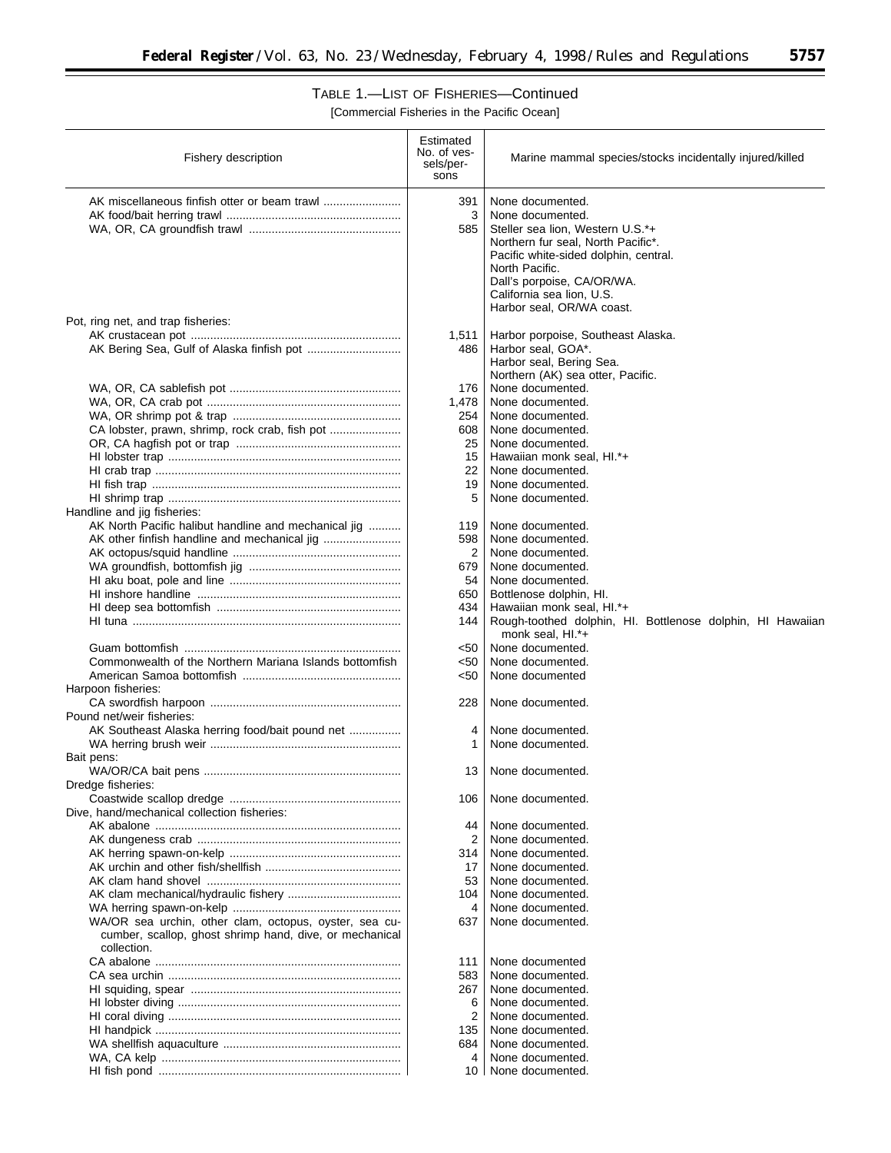$\overline{\phantom{a}}$ 

# TABLE 1.—LIST OF FISHERIES—Continued

| AK miscellaneous finfish otter or beam trawl<br>391<br>None documented.<br>3<br>None documented.<br>585<br>Steller sea lion, Western U.S.*+<br>Northern fur seal, North Pacific*.<br>Pacific white-sided dolphin, central.<br>North Pacific.<br>Dall's porpoise, CA/OR/WA.<br>California sea lion, U.S.<br>Harbor seal, OR/WA coast.<br>Pot, ring net, and trap fisheries:<br>Harbor porpoise, Southeast Alaska.<br>1,511<br>AK Bering Sea, Gulf of Alaska finfish pot<br>Harbor seal, GOA*.<br>486<br>Harbor seal, Bering Sea.<br>Northern (AK) sea otter, Pacific.<br>None documented.<br>176<br>1,478<br>None documented.<br>254<br>None documented.<br>CA lobster, prawn, shrimp, rock crab, fish pot<br>608<br>None documented.<br>25<br>None documented.<br>15<br>Hawaiian monk seal, HI.*+<br>22<br>None documented.<br>19<br>None documented.<br>5<br>None documented.<br>Handline and jig fisheries:<br>AK North Pacific halibut handline and mechanical jig<br>119<br>None documented.<br>AK other finfish handline and mechanical jig<br>598<br>None documented.<br>2<br>None documented.<br>679<br>None documented.<br>54<br>None documented.<br>650<br>Bottlenose dolphin, HI.<br>434<br>Hawaiian monk seal, HI.*+<br>144<br>Rough-toothed dolphin, HI. Bottlenose dolphin, HI Hawaiian<br>monk seal, HI.*+<br>None documented.<br><50<br>Commonwealth of the Northern Mariana Islands bottomfish<br><50<br>None documented.<br><50<br>None documented<br>Harpoon fisheries:<br>228<br>None documented.<br>Pound net/weir fisheries:<br>AK Southeast Alaska herring food/bait pound net<br>None documented.<br>4<br>1<br>None documented.<br>Bait pens:<br>None documented.<br>13<br>Dredge fisheries:<br>None documented.<br>106<br>Dive, hand/mechanical collection fisheries:<br>None documented.<br>44<br>2<br>None documented.<br>None documented.<br>314<br>None documented.<br>17<br>53<br>None documented.<br>None documented.<br>104<br>None documented.<br>4<br>WA/OR sea urchin, other clam, octopus, oyster, sea cu-<br>637<br>None documented.<br>cumber, scallop, ghost shrimp hand, dive, or mechanical<br>collection.<br>None documented<br>111<br>583<br>None documented.<br>None documented.<br>267<br>None documented.<br>6<br>2<br>None documented.<br>135<br>None documented.<br>None documented.<br>684<br>None documented.<br>4<br>None documented.<br>10 | Fishery description | Estimated<br>No. of ves-<br>sels/per-<br>sons | Marine mammal species/stocks incidentally injured/killed |
|-----------------------------------------------------------------------------------------------------------------------------------------------------------------------------------------------------------------------------------------------------------------------------------------------------------------------------------------------------------------------------------------------------------------------------------------------------------------------------------------------------------------------------------------------------------------------------------------------------------------------------------------------------------------------------------------------------------------------------------------------------------------------------------------------------------------------------------------------------------------------------------------------------------------------------------------------------------------------------------------------------------------------------------------------------------------------------------------------------------------------------------------------------------------------------------------------------------------------------------------------------------------------------------------------------------------------------------------------------------------------------------------------------------------------------------------------------------------------------------------------------------------------------------------------------------------------------------------------------------------------------------------------------------------------------------------------------------------------------------------------------------------------------------------------------------------------------------------------------------------------------------------------------------------------------------------------------------------------------------------------------------------------------------------------------------------------------------------------------------------------------------------------------------------------------------------------------------------------------------------------------------------------------------------------------------------------------------------------------------------------------------------------|---------------------|-----------------------------------------------|----------------------------------------------------------|
|                                                                                                                                                                                                                                                                                                                                                                                                                                                                                                                                                                                                                                                                                                                                                                                                                                                                                                                                                                                                                                                                                                                                                                                                                                                                                                                                                                                                                                                                                                                                                                                                                                                                                                                                                                                                                                                                                                                                                                                                                                                                                                                                                                                                                                                                                                                                                                                               |                     |                                               |                                                          |
|                                                                                                                                                                                                                                                                                                                                                                                                                                                                                                                                                                                                                                                                                                                                                                                                                                                                                                                                                                                                                                                                                                                                                                                                                                                                                                                                                                                                                                                                                                                                                                                                                                                                                                                                                                                                                                                                                                                                                                                                                                                                                                                                                                                                                                                                                                                                                                                               |                     |                                               |                                                          |
|                                                                                                                                                                                                                                                                                                                                                                                                                                                                                                                                                                                                                                                                                                                                                                                                                                                                                                                                                                                                                                                                                                                                                                                                                                                                                                                                                                                                                                                                                                                                                                                                                                                                                                                                                                                                                                                                                                                                                                                                                                                                                                                                                                                                                                                                                                                                                                                               |                     |                                               |                                                          |
|                                                                                                                                                                                                                                                                                                                                                                                                                                                                                                                                                                                                                                                                                                                                                                                                                                                                                                                                                                                                                                                                                                                                                                                                                                                                                                                                                                                                                                                                                                                                                                                                                                                                                                                                                                                                                                                                                                                                                                                                                                                                                                                                                                                                                                                                                                                                                                                               |                     |                                               |                                                          |
|                                                                                                                                                                                                                                                                                                                                                                                                                                                                                                                                                                                                                                                                                                                                                                                                                                                                                                                                                                                                                                                                                                                                                                                                                                                                                                                                                                                                                                                                                                                                                                                                                                                                                                                                                                                                                                                                                                                                                                                                                                                                                                                                                                                                                                                                                                                                                                                               |                     |                                               |                                                          |
|                                                                                                                                                                                                                                                                                                                                                                                                                                                                                                                                                                                                                                                                                                                                                                                                                                                                                                                                                                                                                                                                                                                                                                                                                                                                                                                                                                                                                                                                                                                                                                                                                                                                                                                                                                                                                                                                                                                                                                                                                                                                                                                                                                                                                                                                                                                                                                                               |                     |                                               |                                                          |
|                                                                                                                                                                                                                                                                                                                                                                                                                                                                                                                                                                                                                                                                                                                                                                                                                                                                                                                                                                                                                                                                                                                                                                                                                                                                                                                                                                                                                                                                                                                                                                                                                                                                                                                                                                                                                                                                                                                                                                                                                                                                                                                                                                                                                                                                                                                                                                                               |                     |                                               |                                                          |
|                                                                                                                                                                                                                                                                                                                                                                                                                                                                                                                                                                                                                                                                                                                                                                                                                                                                                                                                                                                                                                                                                                                                                                                                                                                                                                                                                                                                                                                                                                                                                                                                                                                                                                                                                                                                                                                                                                                                                                                                                                                                                                                                                                                                                                                                                                                                                                                               |                     |                                               |                                                          |
|                                                                                                                                                                                                                                                                                                                                                                                                                                                                                                                                                                                                                                                                                                                                                                                                                                                                                                                                                                                                                                                                                                                                                                                                                                                                                                                                                                                                                                                                                                                                                                                                                                                                                                                                                                                                                                                                                                                                                                                                                                                                                                                                                                                                                                                                                                                                                                                               |                     |                                               |                                                          |
|                                                                                                                                                                                                                                                                                                                                                                                                                                                                                                                                                                                                                                                                                                                                                                                                                                                                                                                                                                                                                                                                                                                                                                                                                                                                                                                                                                                                                                                                                                                                                                                                                                                                                                                                                                                                                                                                                                                                                                                                                                                                                                                                                                                                                                                                                                                                                                                               |                     |                                               |                                                          |
|                                                                                                                                                                                                                                                                                                                                                                                                                                                                                                                                                                                                                                                                                                                                                                                                                                                                                                                                                                                                                                                                                                                                                                                                                                                                                                                                                                                                                                                                                                                                                                                                                                                                                                                                                                                                                                                                                                                                                                                                                                                                                                                                                                                                                                                                                                                                                                                               |                     |                                               |                                                          |
|                                                                                                                                                                                                                                                                                                                                                                                                                                                                                                                                                                                                                                                                                                                                                                                                                                                                                                                                                                                                                                                                                                                                                                                                                                                                                                                                                                                                                                                                                                                                                                                                                                                                                                                                                                                                                                                                                                                                                                                                                                                                                                                                                                                                                                                                                                                                                                                               |                     |                                               |                                                          |
|                                                                                                                                                                                                                                                                                                                                                                                                                                                                                                                                                                                                                                                                                                                                                                                                                                                                                                                                                                                                                                                                                                                                                                                                                                                                                                                                                                                                                                                                                                                                                                                                                                                                                                                                                                                                                                                                                                                                                                                                                                                                                                                                                                                                                                                                                                                                                                                               |                     |                                               |                                                          |
|                                                                                                                                                                                                                                                                                                                                                                                                                                                                                                                                                                                                                                                                                                                                                                                                                                                                                                                                                                                                                                                                                                                                                                                                                                                                                                                                                                                                                                                                                                                                                                                                                                                                                                                                                                                                                                                                                                                                                                                                                                                                                                                                                                                                                                                                                                                                                                                               |                     |                                               |                                                          |
|                                                                                                                                                                                                                                                                                                                                                                                                                                                                                                                                                                                                                                                                                                                                                                                                                                                                                                                                                                                                                                                                                                                                                                                                                                                                                                                                                                                                                                                                                                                                                                                                                                                                                                                                                                                                                                                                                                                                                                                                                                                                                                                                                                                                                                                                                                                                                                                               |                     |                                               |                                                          |
|                                                                                                                                                                                                                                                                                                                                                                                                                                                                                                                                                                                                                                                                                                                                                                                                                                                                                                                                                                                                                                                                                                                                                                                                                                                                                                                                                                                                                                                                                                                                                                                                                                                                                                                                                                                                                                                                                                                                                                                                                                                                                                                                                                                                                                                                                                                                                                                               |                     |                                               |                                                          |
|                                                                                                                                                                                                                                                                                                                                                                                                                                                                                                                                                                                                                                                                                                                                                                                                                                                                                                                                                                                                                                                                                                                                                                                                                                                                                                                                                                                                                                                                                                                                                                                                                                                                                                                                                                                                                                                                                                                                                                                                                                                                                                                                                                                                                                                                                                                                                                                               |                     |                                               |                                                          |
|                                                                                                                                                                                                                                                                                                                                                                                                                                                                                                                                                                                                                                                                                                                                                                                                                                                                                                                                                                                                                                                                                                                                                                                                                                                                                                                                                                                                                                                                                                                                                                                                                                                                                                                                                                                                                                                                                                                                                                                                                                                                                                                                                                                                                                                                                                                                                                                               |                     |                                               |                                                          |
|                                                                                                                                                                                                                                                                                                                                                                                                                                                                                                                                                                                                                                                                                                                                                                                                                                                                                                                                                                                                                                                                                                                                                                                                                                                                                                                                                                                                                                                                                                                                                                                                                                                                                                                                                                                                                                                                                                                                                                                                                                                                                                                                                                                                                                                                                                                                                                                               |                     |                                               |                                                          |
|                                                                                                                                                                                                                                                                                                                                                                                                                                                                                                                                                                                                                                                                                                                                                                                                                                                                                                                                                                                                                                                                                                                                                                                                                                                                                                                                                                                                                                                                                                                                                                                                                                                                                                                                                                                                                                                                                                                                                                                                                                                                                                                                                                                                                                                                                                                                                                                               |                     |                                               |                                                          |
|                                                                                                                                                                                                                                                                                                                                                                                                                                                                                                                                                                                                                                                                                                                                                                                                                                                                                                                                                                                                                                                                                                                                                                                                                                                                                                                                                                                                                                                                                                                                                                                                                                                                                                                                                                                                                                                                                                                                                                                                                                                                                                                                                                                                                                                                                                                                                                                               |                     |                                               |                                                          |
|                                                                                                                                                                                                                                                                                                                                                                                                                                                                                                                                                                                                                                                                                                                                                                                                                                                                                                                                                                                                                                                                                                                                                                                                                                                                                                                                                                                                                                                                                                                                                                                                                                                                                                                                                                                                                                                                                                                                                                                                                                                                                                                                                                                                                                                                                                                                                                                               |                     |                                               |                                                          |
|                                                                                                                                                                                                                                                                                                                                                                                                                                                                                                                                                                                                                                                                                                                                                                                                                                                                                                                                                                                                                                                                                                                                                                                                                                                                                                                                                                                                                                                                                                                                                                                                                                                                                                                                                                                                                                                                                                                                                                                                                                                                                                                                                                                                                                                                                                                                                                                               |                     |                                               |                                                          |
|                                                                                                                                                                                                                                                                                                                                                                                                                                                                                                                                                                                                                                                                                                                                                                                                                                                                                                                                                                                                                                                                                                                                                                                                                                                                                                                                                                                                                                                                                                                                                                                                                                                                                                                                                                                                                                                                                                                                                                                                                                                                                                                                                                                                                                                                                                                                                                                               |                     |                                               |                                                          |
|                                                                                                                                                                                                                                                                                                                                                                                                                                                                                                                                                                                                                                                                                                                                                                                                                                                                                                                                                                                                                                                                                                                                                                                                                                                                                                                                                                                                                                                                                                                                                                                                                                                                                                                                                                                                                                                                                                                                                                                                                                                                                                                                                                                                                                                                                                                                                                                               |                     |                                               |                                                          |
|                                                                                                                                                                                                                                                                                                                                                                                                                                                                                                                                                                                                                                                                                                                                                                                                                                                                                                                                                                                                                                                                                                                                                                                                                                                                                                                                                                                                                                                                                                                                                                                                                                                                                                                                                                                                                                                                                                                                                                                                                                                                                                                                                                                                                                                                                                                                                                                               |                     |                                               |                                                          |
|                                                                                                                                                                                                                                                                                                                                                                                                                                                                                                                                                                                                                                                                                                                                                                                                                                                                                                                                                                                                                                                                                                                                                                                                                                                                                                                                                                                                                                                                                                                                                                                                                                                                                                                                                                                                                                                                                                                                                                                                                                                                                                                                                                                                                                                                                                                                                                                               |                     |                                               |                                                          |
|                                                                                                                                                                                                                                                                                                                                                                                                                                                                                                                                                                                                                                                                                                                                                                                                                                                                                                                                                                                                                                                                                                                                                                                                                                                                                                                                                                                                                                                                                                                                                                                                                                                                                                                                                                                                                                                                                                                                                                                                                                                                                                                                                                                                                                                                                                                                                                                               |                     |                                               |                                                          |
|                                                                                                                                                                                                                                                                                                                                                                                                                                                                                                                                                                                                                                                                                                                                                                                                                                                                                                                                                                                                                                                                                                                                                                                                                                                                                                                                                                                                                                                                                                                                                                                                                                                                                                                                                                                                                                                                                                                                                                                                                                                                                                                                                                                                                                                                                                                                                                                               |                     |                                               |                                                          |
|                                                                                                                                                                                                                                                                                                                                                                                                                                                                                                                                                                                                                                                                                                                                                                                                                                                                                                                                                                                                                                                                                                                                                                                                                                                                                                                                                                                                                                                                                                                                                                                                                                                                                                                                                                                                                                                                                                                                                                                                                                                                                                                                                                                                                                                                                                                                                                                               |                     |                                               |                                                          |
|                                                                                                                                                                                                                                                                                                                                                                                                                                                                                                                                                                                                                                                                                                                                                                                                                                                                                                                                                                                                                                                                                                                                                                                                                                                                                                                                                                                                                                                                                                                                                                                                                                                                                                                                                                                                                                                                                                                                                                                                                                                                                                                                                                                                                                                                                                                                                                                               |                     |                                               |                                                          |
|                                                                                                                                                                                                                                                                                                                                                                                                                                                                                                                                                                                                                                                                                                                                                                                                                                                                                                                                                                                                                                                                                                                                                                                                                                                                                                                                                                                                                                                                                                                                                                                                                                                                                                                                                                                                                                                                                                                                                                                                                                                                                                                                                                                                                                                                                                                                                                                               |                     |                                               |                                                          |
|                                                                                                                                                                                                                                                                                                                                                                                                                                                                                                                                                                                                                                                                                                                                                                                                                                                                                                                                                                                                                                                                                                                                                                                                                                                                                                                                                                                                                                                                                                                                                                                                                                                                                                                                                                                                                                                                                                                                                                                                                                                                                                                                                                                                                                                                                                                                                                                               |                     |                                               |                                                          |
|                                                                                                                                                                                                                                                                                                                                                                                                                                                                                                                                                                                                                                                                                                                                                                                                                                                                                                                                                                                                                                                                                                                                                                                                                                                                                                                                                                                                                                                                                                                                                                                                                                                                                                                                                                                                                                                                                                                                                                                                                                                                                                                                                                                                                                                                                                                                                                                               |                     |                                               |                                                          |
|                                                                                                                                                                                                                                                                                                                                                                                                                                                                                                                                                                                                                                                                                                                                                                                                                                                                                                                                                                                                                                                                                                                                                                                                                                                                                                                                                                                                                                                                                                                                                                                                                                                                                                                                                                                                                                                                                                                                                                                                                                                                                                                                                                                                                                                                                                                                                                                               |                     |                                               |                                                          |
|                                                                                                                                                                                                                                                                                                                                                                                                                                                                                                                                                                                                                                                                                                                                                                                                                                                                                                                                                                                                                                                                                                                                                                                                                                                                                                                                                                                                                                                                                                                                                                                                                                                                                                                                                                                                                                                                                                                                                                                                                                                                                                                                                                                                                                                                                                                                                                                               |                     |                                               |                                                          |
|                                                                                                                                                                                                                                                                                                                                                                                                                                                                                                                                                                                                                                                                                                                                                                                                                                                                                                                                                                                                                                                                                                                                                                                                                                                                                                                                                                                                                                                                                                                                                                                                                                                                                                                                                                                                                                                                                                                                                                                                                                                                                                                                                                                                                                                                                                                                                                                               |                     |                                               |                                                          |
|                                                                                                                                                                                                                                                                                                                                                                                                                                                                                                                                                                                                                                                                                                                                                                                                                                                                                                                                                                                                                                                                                                                                                                                                                                                                                                                                                                                                                                                                                                                                                                                                                                                                                                                                                                                                                                                                                                                                                                                                                                                                                                                                                                                                                                                                                                                                                                                               |                     |                                               |                                                          |
|                                                                                                                                                                                                                                                                                                                                                                                                                                                                                                                                                                                                                                                                                                                                                                                                                                                                                                                                                                                                                                                                                                                                                                                                                                                                                                                                                                                                                                                                                                                                                                                                                                                                                                                                                                                                                                                                                                                                                                                                                                                                                                                                                                                                                                                                                                                                                                                               |                     |                                               |                                                          |
|                                                                                                                                                                                                                                                                                                                                                                                                                                                                                                                                                                                                                                                                                                                                                                                                                                                                                                                                                                                                                                                                                                                                                                                                                                                                                                                                                                                                                                                                                                                                                                                                                                                                                                                                                                                                                                                                                                                                                                                                                                                                                                                                                                                                                                                                                                                                                                                               |                     |                                               |                                                          |
|                                                                                                                                                                                                                                                                                                                                                                                                                                                                                                                                                                                                                                                                                                                                                                                                                                                                                                                                                                                                                                                                                                                                                                                                                                                                                                                                                                                                                                                                                                                                                                                                                                                                                                                                                                                                                                                                                                                                                                                                                                                                                                                                                                                                                                                                                                                                                                                               |                     |                                               |                                                          |
|                                                                                                                                                                                                                                                                                                                                                                                                                                                                                                                                                                                                                                                                                                                                                                                                                                                                                                                                                                                                                                                                                                                                                                                                                                                                                                                                                                                                                                                                                                                                                                                                                                                                                                                                                                                                                                                                                                                                                                                                                                                                                                                                                                                                                                                                                                                                                                                               |                     |                                               |                                                          |
|                                                                                                                                                                                                                                                                                                                                                                                                                                                                                                                                                                                                                                                                                                                                                                                                                                                                                                                                                                                                                                                                                                                                                                                                                                                                                                                                                                                                                                                                                                                                                                                                                                                                                                                                                                                                                                                                                                                                                                                                                                                                                                                                                                                                                                                                                                                                                                                               |                     |                                               |                                                          |
|                                                                                                                                                                                                                                                                                                                                                                                                                                                                                                                                                                                                                                                                                                                                                                                                                                                                                                                                                                                                                                                                                                                                                                                                                                                                                                                                                                                                                                                                                                                                                                                                                                                                                                                                                                                                                                                                                                                                                                                                                                                                                                                                                                                                                                                                                                                                                                                               |                     |                                               |                                                          |
|                                                                                                                                                                                                                                                                                                                                                                                                                                                                                                                                                                                                                                                                                                                                                                                                                                                                                                                                                                                                                                                                                                                                                                                                                                                                                                                                                                                                                                                                                                                                                                                                                                                                                                                                                                                                                                                                                                                                                                                                                                                                                                                                                                                                                                                                                                                                                                                               |                     |                                               |                                                          |
|                                                                                                                                                                                                                                                                                                                                                                                                                                                                                                                                                                                                                                                                                                                                                                                                                                                                                                                                                                                                                                                                                                                                                                                                                                                                                                                                                                                                                                                                                                                                                                                                                                                                                                                                                                                                                                                                                                                                                                                                                                                                                                                                                                                                                                                                                                                                                                                               |                     |                                               |                                                          |
|                                                                                                                                                                                                                                                                                                                                                                                                                                                                                                                                                                                                                                                                                                                                                                                                                                                                                                                                                                                                                                                                                                                                                                                                                                                                                                                                                                                                                                                                                                                                                                                                                                                                                                                                                                                                                                                                                                                                                                                                                                                                                                                                                                                                                                                                                                                                                                                               |                     |                                               |                                                          |
|                                                                                                                                                                                                                                                                                                                                                                                                                                                                                                                                                                                                                                                                                                                                                                                                                                                                                                                                                                                                                                                                                                                                                                                                                                                                                                                                                                                                                                                                                                                                                                                                                                                                                                                                                                                                                                                                                                                                                                                                                                                                                                                                                                                                                                                                                                                                                                                               |                     |                                               |                                                          |
|                                                                                                                                                                                                                                                                                                                                                                                                                                                                                                                                                                                                                                                                                                                                                                                                                                                                                                                                                                                                                                                                                                                                                                                                                                                                                                                                                                                                                                                                                                                                                                                                                                                                                                                                                                                                                                                                                                                                                                                                                                                                                                                                                                                                                                                                                                                                                                                               |                     |                                               |                                                          |
|                                                                                                                                                                                                                                                                                                                                                                                                                                                                                                                                                                                                                                                                                                                                                                                                                                                                                                                                                                                                                                                                                                                                                                                                                                                                                                                                                                                                                                                                                                                                                                                                                                                                                                                                                                                                                                                                                                                                                                                                                                                                                                                                                                                                                                                                                                                                                                                               |                     |                                               |                                                          |
|                                                                                                                                                                                                                                                                                                                                                                                                                                                                                                                                                                                                                                                                                                                                                                                                                                                                                                                                                                                                                                                                                                                                                                                                                                                                                                                                                                                                                                                                                                                                                                                                                                                                                                                                                                                                                                                                                                                                                                                                                                                                                                                                                                                                                                                                                                                                                                                               |                     |                                               |                                                          |
|                                                                                                                                                                                                                                                                                                                                                                                                                                                                                                                                                                                                                                                                                                                                                                                                                                                                                                                                                                                                                                                                                                                                                                                                                                                                                                                                                                                                                                                                                                                                                                                                                                                                                                                                                                                                                                                                                                                                                                                                                                                                                                                                                                                                                                                                                                                                                                                               |                     |                                               |                                                          |
|                                                                                                                                                                                                                                                                                                                                                                                                                                                                                                                                                                                                                                                                                                                                                                                                                                                                                                                                                                                                                                                                                                                                                                                                                                                                                                                                                                                                                                                                                                                                                                                                                                                                                                                                                                                                                                                                                                                                                                                                                                                                                                                                                                                                                                                                                                                                                                                               |                     |                                               |                                                          |
|                                                                                                                                                                                                                                                                                                                                                                                                                                                                                                                                                                                                                                                                                                                                                                                                                                                                                                                                                                                                                                                                                                                                                                                                                                                                                                                                                                                                                                                                                                                                                                                                                                                                                                                                                                                                                                                                                                                                                                                                                                                                                                                                                                                                                                                                                                                                                                                               |                     |                                               |                                                          |
|                                                                                                                                                                                                                                                                                                                                                                                                                                                                                                                                                                                                                                                                                                                                                                                                                                                                                                                                                                                                                                                                                                                                                                                                                                                                                                                                                                                                                                                                                                                                                                                                                                                                                                                                                                                                                                                                                                                                                                                                                                                                                                                                                                                                                                                                                                                                                                                               |                     |                                               |                                                          |
|                                                                                                                                                                                                                                                                                                                                                                                                                                                                                                                                                                                                                                                                                                                                                                                                                                                                                                                                                                                                                                                                                                                                                                                                                                                                                                                                                                                                                                                                                                                                                                                                                                                                                                                                                                                                                                                                                                                                                                                                                                                                                                                                                                                                                                                                                                                                                                                               |                     |                                               |                                                          |
|                                                                                                                                                                                                                                                                                                                                                                                                                                                                                                                                                                                                                                                                                                                                                                                                                                                                                                                                                                                                                                                                                                                                                                                                                                                                                                                                                                                                                                                                                                                                                                                                                                                                                                                                                                                                                                                                                                                                                                                                                                                                                                                                                                                                                                                                                                                                                                                               |                     |                                               |                                                          |
|                                                                                                                                                                                                                                                                                                                                                                                                                                                                                                                                                                                                                                                                                                                                                                                                                                                                                                                                                                                                                                                                                                                                                                                                                                                                                                                                                                                                                                                                                                                                                                                                                                                                                                                                                                                                                                                                                                                                                                                                                                                                                                                                                                                                                                                                                                                                                                                               |                     |                                               |                                                          |
|                                                                                                                                                                                                                                                                                                                                                                                                                                                                                                                                                                                                                                                                                                                                                                                                                                                                                                                                                                                                                                                                                                                                                                                                                                                                                                                                                                                                                                                                                                                                                                                                                                                                                                                                                                                                                                                                                                                                                                                                                                                                                                                                                                                                                                                                                                                                                                                               |                     |                                               |                                                          |
|                                                                                                                                                                                                                                                                                                                                                                                                                                                                                                                                                                                                                                                                                                                                                                                                                                                                                                                                                                                                                                                                                                                                                                                                                                                                                                                                                                                                                                                                                                                                                                                                                                                                                                                                                                                                                                                                                                                                                                                                                                                                                                                                                                                                                                                                                                                                                                                               |                     |                                               |                                                          |
|                                                                                                                                                                                                                                                                                                                                                                                                                                                                                                                                                                                                                                                                                                                                                                                                                                                                                                                                                                                                                                                                                                                                                                                                                                                                                                                                                                                                                                                                                                                                                                                                                                                                                                                                                                                                                                                                                                                                                                                                                                                                                                                                                                                                                                                                                                                                                                                               |                     |                                               |                                                          |
|                                                                                                                                                                                                                                                                                                                                                                                                                                                                                                                                                                                                                                                                                                                                                                                                                                                                                                                                                                                                                                                                                                                                                                                                                                                                                                                                                                                                                                                                                                                                                                                                                                                                                                                                                                                                                                                                                                                                                                                                                                                                                                                                                                                                                                                                                                                                                                                               |                     |                                               |                                                          |
|                                                                                                                                                                                                                                                                                                                                                                                                                                                                                                                                                                                                                                                                                                                                                                                                                                                                                                                                                                                                                                                                                                                                                                                                                                                                                                                                                                                                                                                                                                                                                                                                                                                                                                                                                                                                                                                                                                                                                                                                                                                                                                                                                                                                                                                                                                                                                                                               |                     |                                               |                                                          |
|                                                                                                                                                                                                                                                                                                                                                                                                                                                                                                                                                                                                                                                                                                                                                                                                                                                                                                                                                                                                                                                                                                                                                                                                                                                                                                                                                                                                                                                                                                                                                                                                                                                                                                                                                                                                                                                                                                                                                                                                                                                                                                                                                                                                                                                                                                                                                                                               |                     |                                               |                                                          |
|                                                                                                                                                                                                                                                                                                                                                                                                                                                                                                                                                                                                                                                                                                                                                                                                                                                                                                                                                                                                                                                                                                                                                                                                                                                                                                                                                                                                                                                                                                                                                                                                                                                                                                                                                                                                                                                                                                                                                                                                                                                                                                                                                                                                                                                                                                                                                                                               |                     |                                               |                                                          |
|                                                                                                                                                                                                                                                                                                                                                                                                                                                                                                                                                                                                                                                                                                                                                                                                                                                                                                                                                                                                                                                                                                                                                                                                                                                                                                                                                                                                                                                                                                                                                                                                                                                                                                                                                                                                                                                                                                                                                                                                                                                                                                                                                                                                                                                                                                                                                                                               |                     |                                               |                                                          |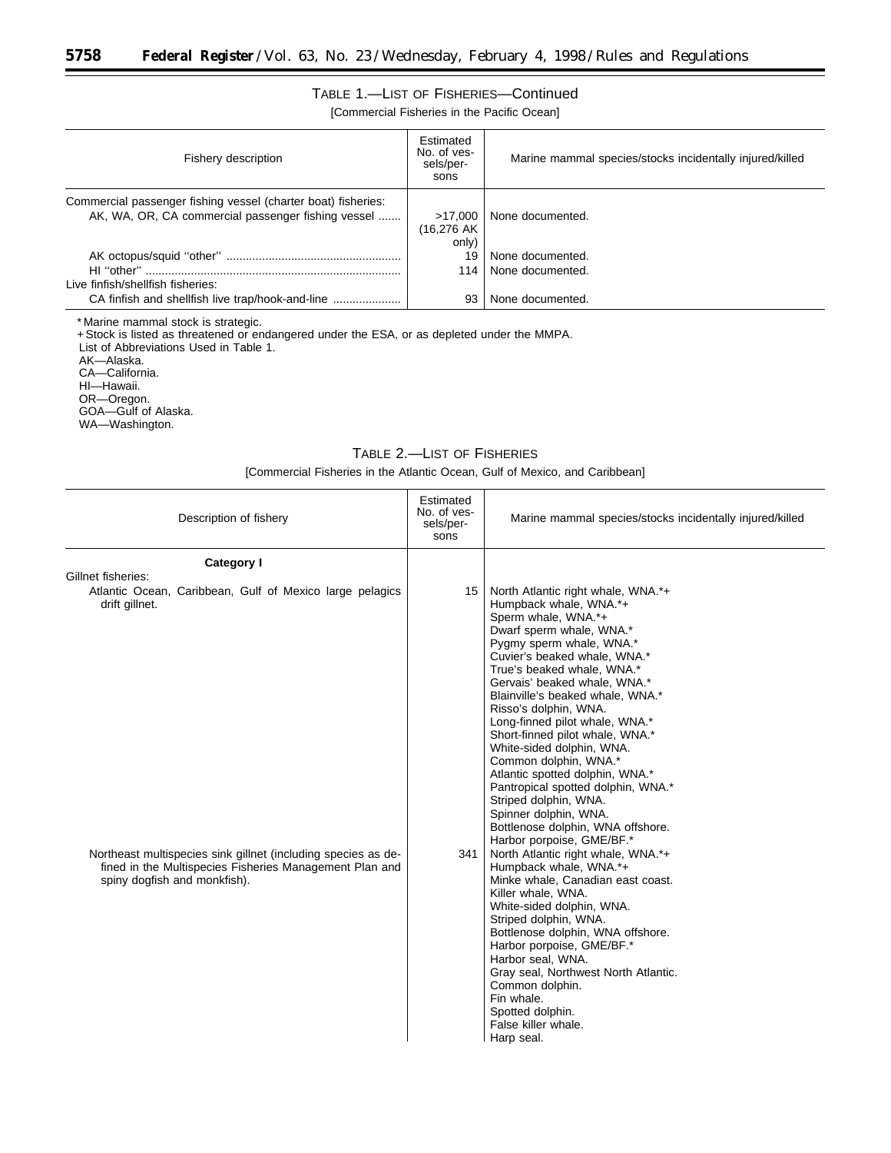# TABLE 1.—LIST OF FISHERIES—Continued

[Commercial Fisheries in the Pacific Ocean]

| Fishery description                                                                                                 | Estimated<br>No. of yes-<br>sels/per-<br>sons | Marine mammal species/stocks incidentally injured/killed |
|---------------------------------------------------------------------------------------------------------------------|-----------------------------------------------|----------------------------------------------------------|
| Commercial passenger fishing vessel (charter boat) fisheries:<br>AK, WA, OR, CA commercial passenger fishing vessel | >17.000<br>(16,276 AK)<br>only)               | None documented.                                         |
|                                                                                                                     | 19                                            | None documented.                                         |
|                                                                                                                     | 114                                           | None documented.                                         |
| Live finfish/shellfish fisheries:                                                                                   |                                               |                                                          |
|                                                                                                                     | 93                                            | None documented.                                         |

\* Marine mammal stock is strategic.

+Stock is listed as threatened or endangered under the ESA, or as depleted under the MMPA.

List of Abbreviations Used in Table 1.

AK—Alaska.

۳

CA—California.

HI—Hawaii.

OR—Oregon.

GOA—Gulf of Alaska.

WA—Washington.

# TABLE 2.—LIST OF FISHERIES

[Commercial Fisheries in the Atlantic Ocean, Gulf of Mexico, and Caribbean]

| Description of fishery                                                                                                                                   | Estimated<br>No. of yes-<br>sels/per-<br>sons | Marine mammal species/stocks incidentally injured/killed                                                                                                                                                                                                                                                                                                                                                                                                                                                                                                                                                                       |
|----------------------------------------------------------------------------------------------------------------------------------------------------------|-----------------------------------------------|--------------------------------------------------------------------------------------------------------------------------------------------------------------------------------------------------------------------------------------------------------------------------------------------------------------------------------------------------------------------------------------------------------------------------------------------------------------------------------------------------------------------------------------------------------------------------------------------------------------------------------|
| Category I                                                                                                                                               |                                               |                                                                                                                                                                                                                                                                                                                                                                                                                                                                                                                                                                                                                                |
| Gillnet fisheries:<br>Atlantic Ocean, Caribbean, Gulf of Mexico large pelagics<br>drift gillnet.                                                         | 15                                            | North Atlantic right whale, WNA.*+<br>Humpback whale, WNA.*+<br>Sperm whale, WNA.*+<br>Dwarf sperm whale, WNA.*<br>Pygmy sperm whale, WNA.*<br>Cuvier's beaked whale, WNA.*<br>True's beaked whale, WNA.*<br>Gervais' beaked whale, WNA.*<br>Blainville's beaked whale, WNA.*<br>Risso's dolphin, WNA.<br>Long-finned pilot whale, WNA.*<br>Short-finned pilot whale, WNA.*<br>White-sided dolphin, WNA.<br>Common dolphin, WNA.*<br>Atlantic spotted dolphin, WNA.*<br>Pantropical spotted dolphin, WNA.*<br>Striped dolphin, WNA.<br>Spinner dolphin, WNA.<br>Bottlenose dolphin, WNA offshore.<br>Harbor porpoise, GME/BF.* |
| Northeast multispecies sink gillnet (including species as de-<br>fined in the Multispecies Fisheries Management Plan and<br>spiny dogfish and monkfish). | 341                                           | North Atlantic right whale, WNA.*+<br>Humpback whale, WNA.*+<br>Minke whale, Canadian east coast.<br>Killer whale, WNA.<br>White-sided dolphin, WNA.<br>Striped dolphin, WNA.<br>Bottlenose dolphin, WNA offshore.<br>Harbor porpoise, GME/BF.*<br>Harbor seal, WNA.<br>Gray seal, Northwest North Atlantic.<br>Common dolphin.<br>Fin whale.<br>Spotted dolphin.<br>False killer whale.<br>Harp seal.                                                                                                                                                                                                                         |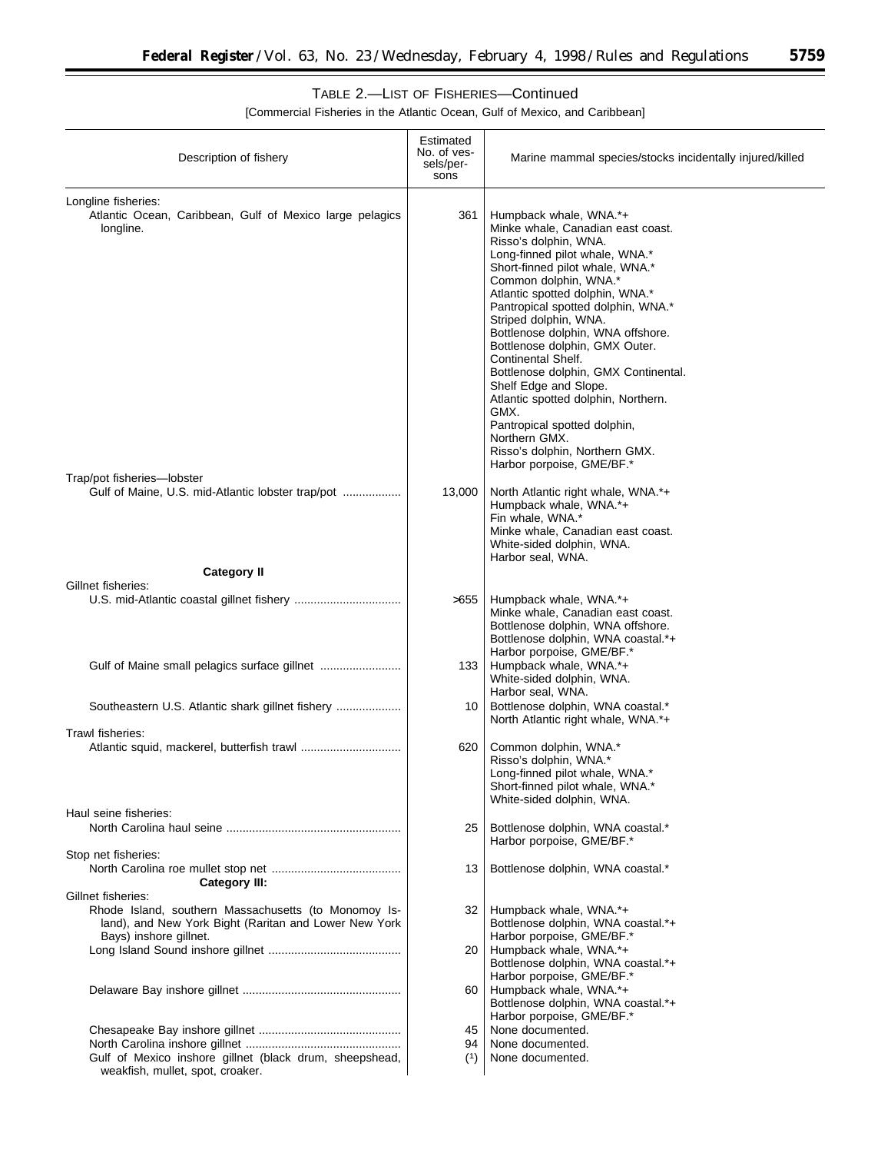▀

# TABLE 2.—LIST OF FISHERIES—Continued

[Commercial Fisheries in the Atlantic Ocean, Gulf of Mexico, and Caribbean]

| Description of fishery                                                                                                                                        | Estimated<br>No. of ves-<br>sels/per-<br>sons | Marine mammal species/stocks incidentally injured/killed                                                                                                                                                                                                                                                                                                                                                                                                                                                                                                                                                          |
|---------------------------------------------------------------------------------------------------------------------------------------------------------------|-----------------------------------------------|-------------------------------------------------------------------------------------------------------------------------------------------------------------------------------------------------------------------------------------------------------------------------------------------------------------------------------------------------------------------------------------------------------------------------------------------------------------------------------------------------------------------------------------------------------------------------------------------------------------------|
| Longline fisheries:<br>Atlantic Ocean, Caribbean, Gulf of Mexico large pelagics<br>longline.                                                                  | 361                                           | Humpback whale, WNA.*+<br>Minke whale, Canadian east coast.<br>Risso's dolphin, WNA.<br>Long-finned pilot whale, WNA.*<br>Short-finned pilot whale, WNA.*<br>Common dolphin, WNA.*<br>Atlantic spotted dolphin, WNA.*<br>Pantropical spotted dolphin, WNA.*<br>Striped dolphin, WNA.<br>Bottlenose dolphin, WNA offshore.<br>Bottlenose dolphin, GMX Outer.<br>Continental Shelf.<br>Bottlenose dolphin, GMX Continental.<br>Shelf Edge and Slope.<br>Atlantic spotted dolphin, Northern.<br>GMX.<br>Pantropical spotted dolphin,<br>Northern GMX.<br>Risso's dolphin, Northern GMX.<br>Harbor porpoise, GME/BF.* |
| Trap/pot fisheries-lobster                                                                                                                                    |                                               |                                                                                                                                                                                                                                                                                                                                                                                                                                                                                                                                                                                                                   |
| Gulf of Maine, U.S. mid-Atlantic lobster trap/pot                                                                                                             | 13,000                                        | North Atlantic right whale, WNA.*+<br>Humpback whale, WNA.*+<br>Fin whale, WNA.*<br>Minke whale, Canadian east coast.<br>White-sided dolphin, WNA.<br>Harbor seal, WNA.                                                                                                                                                                                                                                                                                                                                                                                                                                           |
| <b>Category II</b>                                                                                                                                            |                                               |                                                                                                                                                                                                                                                                                                                                                                                                                                                                                                                                                                                                                   |
| Gillnet fisheries:                                                                                                                                            | >655                                          | Humpback whale, WNA.*+<br>Minke whale, Canadian east coast.<br>Bottlenose dolphin, WNA offshore.<br>Bottlenose dolphin, WNA coastal.*+<br>Harbor porpoise, GME/BF.*                                                                                                                                                                                                                                                                                                                                                                                                                                               |
|                                                                                                                                                               | 133                                           | Humpback whale, WNA.*+<br>White-sided dolphin, WNA.<br>Harbor seal, WNA.                                                                                                                                                                                                                                                                                                                                                                                                                                                                                                                                          |
|                                                                                                                                                               | 10                                            | Bottlenose dolphin, WNA coastal.*<br>North Atlantic right whale, WNA.*+                                                                                                                                                                                                                                                                                                                                                                                                                                                                                                                                           |
| Trawl fisheries:                                                                                                                                              | 620                                           | Common dolphin, WNA.*<br>Risso's dolphin, WNA.*<br>Long-finned pilot whale, WNA.*<br>Short-finned pilot whale, WNA.<br>White-sided dolphin, WNA.                                                                                                                                                                                                                                                                                                                                                                                                                                                                  |
| Haul seine fisheries:                                                                                                                                         |                                               |                                                                                                                                                                                                                                                                                                                                                                                                                                                                                                                                                                                                                   |
|                                                                                                                                                               | 25                                            | Bottlenose dolphin, WNA coastal.*<br>Harbor porpoise, GME/BF.*                                                                                                                                                                                                                                                                                                                                                                                                                                                                                                                                                    |
| Stop net fisheries:<br><b>Category III:</b>                                                                                                                   | 13                                            | Bottlenose dolphin, WNA coastal.*                                                                                                                                                                                                                                                                                                                                                                                                                                                                                                                                                                                 |
| Gillnet fisheries:<br>Rhode Island, southern Massachusetts (to Monomoy Is-<br>land), and New York Bight (Raritan and Lower New York<br>Bays) inshore gillnet. | 32 I                                          | Humpback whale, WNA.*+<br>Bottlenose dolphin, WNA coastal.*+<br>Harbor porpoise, GME/BF.*                                                                                                                                                                                                                                                                                                                                                                                                                                                                                                                         |
|                                                                                                                                                               | 20                                            | Humpback whale, WNA.*+<br>Bottlenose dolphin, WNA coastal.*+<br>Harbor porpoise, GME/BF.*                                                                                                                                                                                                                                                                                                                                                                                                                                                                                                                         |
|                                                                                                                                                               | 60                                            | Humpback whale, WNA.*+<br>Bottlenose dolphin, WNA coastal.*+<br>Harbor porpoise, GME/BF.*                                                                                                                                                                                                                                                                                                                                                                                                                                                                                                                         |
|                                                                                                                                                               | 45                                            | None documented.                                                                                                                                                                                                                                                                                                                                                                                                                                                                                                                                                                                                  |
|                                                                                                                                                               | 94                                            | None documented.                                                                                                                                                                                                                                                                                                                                                                                                                                                                                                                                                                                                  |
| Gulf of Mexico inshore gillnet (black drum, sheepshead,<br>weakfish, mullet, spot, croaker.                                                                   | (1)                                           | None documented.                                                                                                                                                                                                                                                                                                                                                                                                                                                                                                                                                                                                  |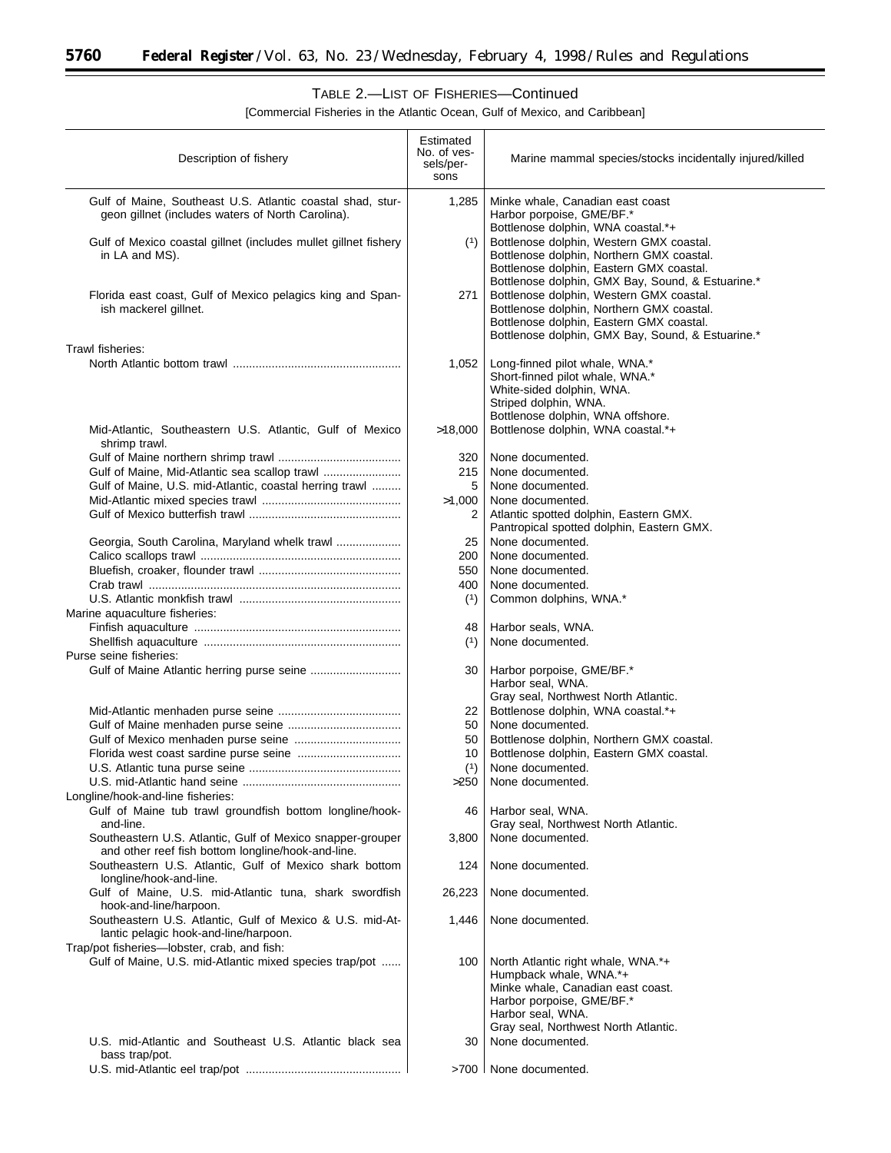Ξ

# TABLE 2.—LIST OF FISHERIES—Continued

[Commercial Fisheries in the Atlantic Ocean, Gulf of Mexico, and Caribbean]

| Description of fishery                                                                                                              | Estimated<br>No. of ves-<br>sels/per-<br>sons | Marine mammal species/stocks incidentally injured/killed                                                                                                                                                                     |
|-------------------------------------------------------------------------------------------------------------------------------------|-----------------------------------------------|------------------------------------------------------------------------------------------------------------------------------------------------------------------------------------------------------------------------------|
| Gulf of Maine, Southeast U.S. Atlantic coastal shad, stur-<br>geon gillnet (includes waters of North Carolina).                     | 1,285                                         | Minke whale, Canadian east coast<br>Harbor porpoise, GME/BF.*                                                                                                                                                                |
| Gulf of Mexico coastal gillnet (includes mullet gillnet fishery<br>in LA and MS).                                                   | (1)                                           | Bottlenose dolphin, WNA coastal.*+<br>Bottlenose dolphin, Western GMX coastal.<br>Bottlenose dolphin, Northern GMX coastal.<br>Bottlenose dolphin, Eastern GMX coastal.<br>Bottlenose dolphin, GMX Bay, Sound, & Estuarine.* |
| Florida east coast, Gulf of Mexico pelagics king and Span-<br>ish mackerel gillnet.                                                 | 271                                           | Bottlenose dolphin, Western GMX coastal.<br>Bottlenose dolphin, Northern GMX coastal.<br>Bottlenose dolphin, Eastern GMX coastal.<br>Bottlenose dolphin, GMX Bay, Sound, & Estuarine.*                                       |
| Trawl fisheries:                                                                                                                    | 1,052                                         | Long-finned pilot whale, WNA.*<br>Short-finned pilot whale, WNA.*<br>White-sided dolphin, WNA.<br>Striped dolphin, WNA.                                                                                                      |
| Mid-Atlantic, Southeastern U.S. Atlantic, Gulf of Mexico<br>shrimp trawl.                                                           | >18,000                                       | Bottlenose dolphin, WNA offshore.<br>Bottlenose dolphin, WNA coastal.*+                                                                                                                                                      |
| Gulf of Maine, Mid-Atlantic sea scallop trawl<br>Gulf of Maine, U.S. mid-Atlantic, coastal herring trawl                            | 320<br>215<br>5                               | None documented.<br>None documented.<br>None documented.                                                                                                                                                                     |
|                                                                                                                                     | >1,000<br>2                                   | None documented.<br>Atlantic spotted dolphin, Eastern GMX.<br>Pantropical spotted dolphin, Eastern GMX.                                                                                                                      |
| Georgia, South Carolina, Maryland whelk trawl                                                                                       | 25<br>200                                     | None documented.<br>None documented.                                                                                                                                                                                         |
|                                                                                                                                     | 550<br>400<br>(1)                             | None documented.<br>None documented.<br>Common dolphins, WNA.*                                                                                                                                                               |
| Marine aquaculture fisheries:                                                                                                       | 48<br>(1)                                     | Harbor seals, WNA.<br>None documented.                                                                                                                                                                                       |
| Purse seine fisheries:                                                                                                              |                                               |                                                                                                                                                                                                                              |
|                                                                                                                                     | 30                                            | Harbor porpoise, GME/BF.*<br>Harbor seal, WNA.<br>Gray seal, Northwest North Atlantic.                                                                                                                                       |
|                                                                                                                                     | 22                                            | Bottlenose dolphin, WNA coastal.*+                                                                                                                                                                                           |
|                                                                                                                                     | 50                                            | None documented.                                                                                                                                                                                                             |
|                                                                                                                                     | 50<br>10                                      | Bottlenose dolphin, Northern GMX coastal.<br>Bottlenose dolphin, Eastern GMX coastal.                                                                                                                                        |
|                                                                                                                                     | (1)                                           | None documented.                                                                                                                                                                                                             |
| Longline/hook-and-line fisheries:                                                                                                   | $>250$                                        | None documented.                                                                                                                                                                                                             |
| Gulf of Maine tub trawl groundfish bottom longline/hook-<br>and-line.<br>Southeastern U.S. Atlantic, Gulf of Mexico snapper-grouper | 46<br>3,800                                   | Harbor seal, WNA.<br>Gray seal, Northwest North Atlantic.<br>None documented.                                                                                                                                                |
| and other reef fish bottom longline/hook-and-line.<br>Southeastern U.S. Atlantic, Gulf of Mexico shark bottom                       | 124                                           | None documented.                                                                                                                                                                                                             |
| longline/hook-and-line.<br>Gulf of Maine, U.S. mid-Atlantic tuna, shark swordfish<br>hook-and-line/harpoon.                         | 26,223                                        | None documented.                                                                                                                                                                                                             |
| Southeastern U.S. Atlantic, Gulf of Mexico & U.S. mid-At-<br>lantic pelagic hook-and-line/harpoon.                                  | 1,446                                         | None documented.                                                                                                                                                                                                             |
| Trap/pot fisheries-lobster, crab, and fish:<br>Gulf of Maine, U.S. mid-Atlantic mixed species trap/pot                              | 100                                           | North Atlantic right whale, WNA.*+<br>Humpback whale, WNA.*+<br>Minke whale, Canadian east coast.<br>Harbor porpoise, GME/BF.*<br>Harbor seal, WNA.<br>Gray seal, Northwest North Atlantic.                                  |
| U.S. mid-Atlantic and Southeast U.S. Atlantic black sea<br>bass trap/pot.                                                           | 30                                            | None documented.                                                                                                                                                                                                             |
|                                                                                                                                     |                                               | >700   None documented.                                                                                                                                                                                                      |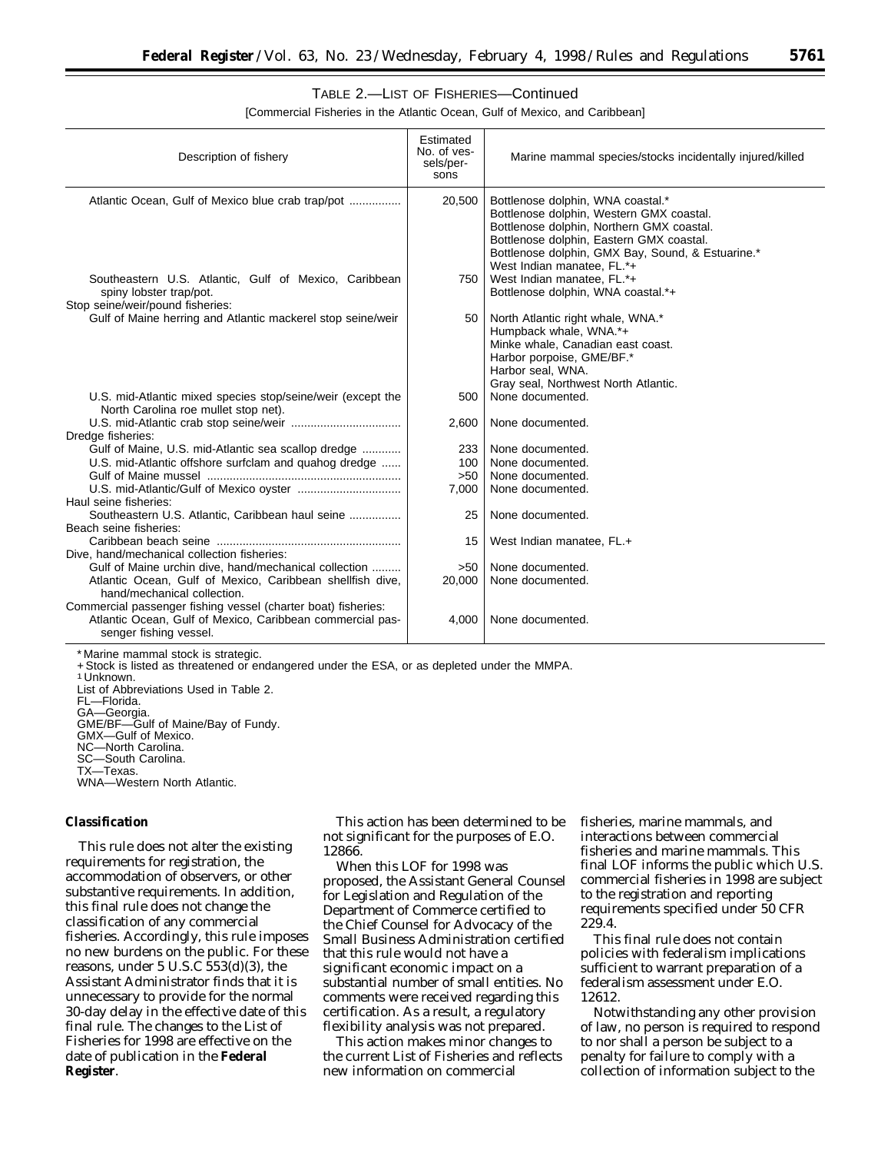# TABLE 2.—LIST OF FISHERIES—Continued

[Commercial Fisheries in the Atlantic Ocean, Gulf of Mexico, and Caribbean]

| Description of fishery                                                                                                                               | Estimated<br>No. of ves-<br>sels/per-<br>sons | Marine mammal species/stocks incidentally injured/killed                                                                                                                                                                                                  |
|------------------------------------------------------------------------------------------------------------------------------------------------------|-----------------------------------------------|-----------------------------------------------------------------------------------------------------------------------------------------------------------------------------------------------------------------------------------------------------------|
| Atlantic Ocean, Gulf of Mexico blue crab trap/pot                                                                                                    | 20,500                                        | Bottlenose dolphin, WNA coastal.*<br>Bottlenose dolphin, Western GMX coastal.<br>Bottlenose dolphin, Northern GMX coastal.<br>Bottlenose dolphin, Eastern GMX coastal.<br>Bottlenose dolphin, GMX Bay, Sound, & Estuarine.*<br>West Indian manatee, FL.*+ |
| Southeastern U.S. Atlantic, Gulf of Mexico, Caribbean<br>spiny lobster trap/pot.<br>Stop seine/weir/pound fisheries:                                 | 750                                           | West Indian manatee, FL.*+<br>Bottlenose dolphin, WNA coastal.*+                                                                                                                                                                                          |
| Gulf of Maine herring and Atlantic mackerel stop seine/weir                                                                                          | 50                                            | North Atlantic right whale, WNA.*<br>Humpback whale, WNA.*+<br>Minke whale, Canadian east coast.<br>Harbor porpoise, GME/BF.*<br>Harbor seal, WNA.<br>Gray seal, Northwest North Atlantic.                                                                |
| U.S. mid-Atlantic mixed species stop/seine/weir (except the<br>North Carolina roe mullet stop net).                                                  | 500                                           | None documented.                                                                                                                                                                                                                                          |
| Dredge fisheries:                                                                                                                                    | 2,600                                         | None documented.                                                                                                                                                                                                                                          |
| Gulf of Maine, U.S. mid-Atlantic sea scallop dredge                                                                                                  | 233                                           | None documented.                                                                                                                                                                                                                                          |
| U.S. mid-Atlantic offshore surfclam and quahog dredge                                                                                                | 100                                           | None documented.                                                                                                                                                                                                                                          |
|                                                                                                                                                      | >50                                           | None documented.                                                                                                                                                                                                                                          |
| Haul seine fisheries:                                                                                                                                | 7,000                                         | None documented.                                                                                                                                                                                                                                          |
| Southeastern U.S. Atlantic, Caribbean haul seine<br>Beach seine fisheries:                                                                           | 25                                            | None documented.                                                                                                                                                                                                                                          |
|                                                                                                                                                      | 15                                            | West Indian manatee, FL.+                                                                                                                                                                                                                                 |
| Dive, hand/mechanical collection fisheries:                                                                                                          |                                               |                                                                                                                                                                                                                                                           |
| Gulf of Maine urchin dive, hand/mechanical collection                                                                                                | >50                                           | None documented.                                                                                                                                                                                                                                          |
| Atlantic Ocean, Gulf of Mexico, Caribbean shellfish dive,<br>hand/mechanical collection.                                                             | 20,000                                        | None documented.                                                                                                                                                                                                                                          |
| Commercial passenger fishing vessel (charter boat) fisheries:<br>Atlantic Ocean, Gulf of Mexico, Caribbean commercial pas-<br>senger fishing vessel. | 4,000                                         | None documented.                                                                                                                                                                                                                                          |

\* Marine mammal stock is strategic.

+ Stock is listed as threatened or endangered under the ESA, or as depleted under the MMPA.<br>1 Unknown.

List of Abbreviations Used in Table 2. FL—Florida.

GA—Georgia. GME/BF—Gulf of Maine/Bay of Fundy. GMX—Gulf of Mexico. NC—North Carolina. SC—South Carolina. TX—Texas.

WNA—Western North Atlantic.

#### **Classification**

This rule does not alter the existing requirements for registration, the accommodation of observers, or other substantive requirements. In addition, this final rule does not change the classification of any commercial fisheries. Accordingly, this rule imposes no new burdens on the public. For these reasons, under 5 U.S.C 553(d)(3), the Assistant Administrator finds that it is unnecessary to provide for the normal 30-day delay in the effective date of this final rule. The changes to the List of Fisheries for 1998 are effective on the date of publication in the **Federal Register**.

This action has been determined to be not significant for the purposes of E.O. 12866.

When this LOF for 1998 was proposed, the Assistant General Counsel for Legislation and Regulation of the Department of Commerce certified to the Chief Counsel for Advocacy of the Small Business Administration certified that this rule would not have a significant economic impact on a substantial number of small entities. No comments were received regarding this certification. As a result, a regulatory flexibility analysis was not prepared.

This action makes minor changes to the current List of Fisheries and reflects new information on commercial

fisheries, marine mammals, and interactions between commercial fisheries and marine mammals. This final LOF informs the public which U.S. commercial fisheries in 1998 are subject to the registration and reporting requirements specified under 50 CFR 229.4.

This final rule does not contain policies with federalism implications sufficient to warrant preparation of a federalism assessment under E.O. 12612.

Notwithstanding any other provision of law, no person is required to respond to nor shall a person be subject to a penalty for failure to comply with a collection of information subject to the